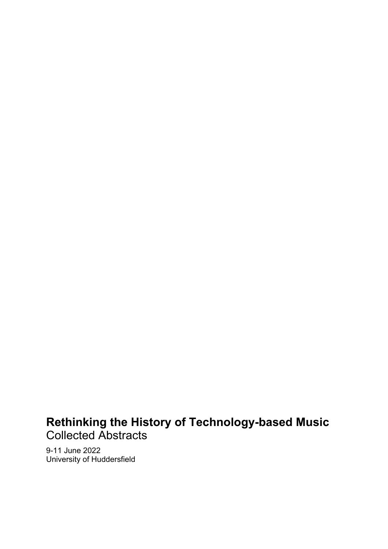# **Rethinking the History of Technology-based Music** Collected Abstracts

9-11 June 2022 University of Huddersfield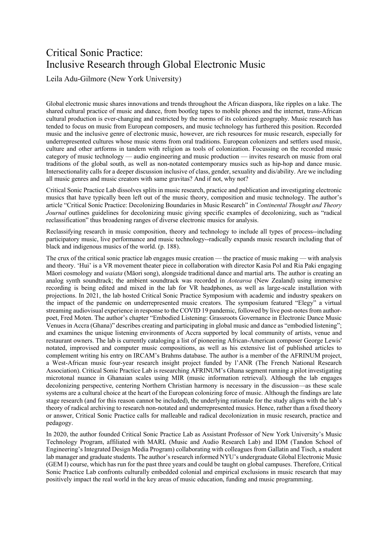## Critical Sonic Practice: Inclusive Research through Global Electronic Music

Leila Adu-Gilmore (New York University)

Global electronic music shares innovations and trends throughout the African diaspora, like ripples on a lake. The shared cultural practice of music and dance, from bootleg tapes to mobile phones and the internet, trans-African cultural production is ever-changing and restricted by the norms of its colonized geography. Music research has tended to focus on music from European composers, and music technology has furthered this position. Recorded music and the inclusive genre of electronic music, however, are rich resources for music research, especially for underrepresented cultures whose music stems from oral traditions. European colonizers and settlers used music, culture and other artforms in tandem with religion as tools of colonization. Focussing on the recorded music category of music technology — audio engineering and music production — invites research on music from oral traditions of the global south, as well as non-notated contemporary musics such as hip-hop and dance music. Intersectionality calls for a deeper discussion inclusive of class, gender, sexuality and dis/ability. Are we including all music genres and music creators with same gravitas? And if not, why not?

Critical Sonic Practice Lab dissolves splits in music research, practice and publication and investigating electronic musics that have typically been left out of the music theory, composition and music technology. The author's article "Critical Sonic Practice: Decolonizing Boundaries in Music Research" in *Continental Thought and Theory Journal* outlines guidelines for decolonizing music giving specific examples of decolonizing, such as "radical reclassification" thus broadening ranges of diverse electronic musics for analysis.

Reclassifying research in music composition, theory and technology to include all types of process--including participatory music, live performance and music technology--radically expands music research including that of black and indigenous musics of the world. (p. 188).

The crux of the critical sonic practice lab engages music creation — the practice of music making — with analysis and theory. 'Hui' is a VR movement theater piece in collaboration with director Kasia Pol and Ria Paki engaging Māori cosmology and *waiata* (Māori song), alongside traditional dance and martial arts. The author is creating an analog synth soundtrack; the ambient soundtrack was recorded in *Aotearoa* (New Zealand) using immersive recording is being edited and mixed in the lab for VR headphones, as well as large-scale installation with projections. In 2021, the lab hosted Critical Sonic Practice Symposium with academic and industry speakers on the impact of the pandemic on underrepresented music creators. The symposium featured "Elegy" a virtual streaming audiovisual experience in response to the COVID 19 pandemic, followed by live post-notes from authorpoet, Fred Moten. The author's chapter "Embodied Listening: Grassroots Governance in Electronic Dance Music Venues in Accra (Ghana)" describes creating and participating in global music and dance as "embodied listening"; and examines the unique listening environments of Accra supported by local community of artists, venue and restaurant owners. The lab is currently cataloging a list of pioneering African-American composer George Lewis' notated, improvised and computer music compositions, as well as his extensive list of published articles to complement writing his entry on IRCAM's Brahms database. The author is a member of the AFRINUM project, a West-African music four-year research insight project funded by l'ANR (The French National Research Association). Critical Sonic Practice Lab is researching AFRINUM's Ghana segment running a pilot investigating microtonal nuance in Ghanaian scales using MIR (music information retrieval). Although the lab engages decolonizing perspective, centering Northern Christian harmony is necessary in the discussion—as these scale systems are a cultural choice at the heart of the European colonizing force of music. Although the findings are late stage research (and for this reason cannot be included), the underlying rationale for the study aligns with the lab's theory of radical archiving to research non-notated and underrepresented musics. Hence, rather than a fixed theory or answer, Critical Sonic Practice calls for malleable and radical decolonization in music research, practice and pedagogy.

In 2020, the author founded Critical Sonic Practice Lab as Assistant Professor of New York University's Music Technology Program, affiliated with MARL (Music and Audio Research Lab) and IDM (Tandon School of Engineering's Integrated Design Media Program) collaborating with colleagues from Gallatin and Tisch, a student lab manager and graduate students. The author's research informed NYU's undergraduate Global Electronic Music (GEM I) course, which has run for the past three years and could be taught on global campuses. Therefore, Critical Sonic Practice Lab confronts culturally embedded colonial and empirical exclusions in music research that may positively impact the real world in the key areas of music education, funding and music programming.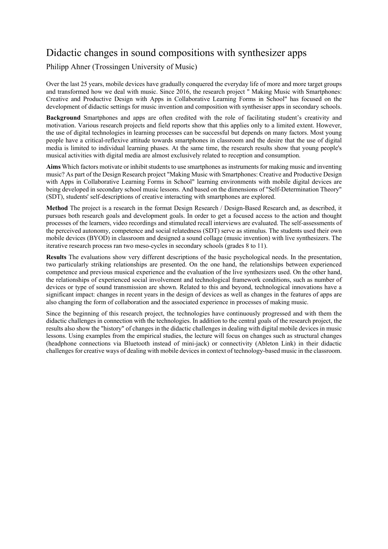## Didactic changes in sound compositions with synthesizer apps

Philipp Ahner (Trossingen University of Music)

Over the last 25 years, mobile devices have gradually conquered the everyday life of more and more target groups and transformed how we deal with music. Since 2016, the research project " Making Music with Smartphones: Creative and Productive Design with Apps in Collaborative Learning Forms in School" has focused on the development of didactic settings for music invention and composition with synthesiser apps in secondary schools.

**Background** Smartphones and apps are often credited with the role of facilitating student's creativity and motivation. Various research projects and field reports show that this applies only to a limited extent. However, the use of digital technologies in learning processes can be successful but depends on many factors. Most young people have a critical-reflexive attitude towards smartphones in classroom and the desire that the use of digital media is limited to individual learning phases. At the same time, the research results show that young people's musical activities with digital media are almost exclusively related to reception and consumption.

**Aims** Which factors motivate or inhibit students to use smartphones as instruments for making music and inventing music? As part of the Design Research project "Making Music with Smartphones: Creative and Productive Design with Apps in Collaborative Learning Forms in School" learning environments with mobile digital devices are being developed in secondary school music lessons. And based on the dimensions of "Self-Determination Theory" (SDT), students' self-descriptions of creative interacting with smartphones are explored.

**Method** The project is a research in the format Design Research / Design-Based Research and, as described, it pursues both research goals and development goals. In order to get a focused access to the action and thought processes of the learners, video recordings and stimulated recall interviews are evaluated. The self-assessments of the perceived autonomy, competence and social relatedness (SDT) serve as stimulus. The students used their own mobile devices (BYOD) in classroom and designed a sound collage (music invention) with live synthesizers. The iterative research process ran two meso-cycles in secondary schools (grades 8 to 11).

**Results** The evaluations show very different descriptions of the basic psychological needs. In the presentation, two particularly striking relationships are presented. On the one hand, the relationships between experienced competence and previous musical experience and the evaluation of the live synthesizers used. On the other hand, the relationships of experienced social involvement and technological framework conditions, such as number of devices or type of sound transmission are shown. Related to this and beyond, technological innovations have a significant impact: changes in recent years in the design of devices as well as changes in the features of apps are also changing the form of collaboration and the associated experience in processes of making music.

Since the beginning of this research project, the technologies have continuously progressed and with them the didactic challenges in connection with the technologies. In addition to the central goals of the research project, the results also show the "history" of changes in the didactic challenges in dealing with digital mobile devices in music lessons. Using examples from the empirical studies, the lecture will focus on changes such as structural changes (headphone connections via Bluetooth instead of mini-jack) or connectivity (Ableton Link) in their didactic challenges for creative ways of dealing with mobile devices in context of technology-based music in the classroom.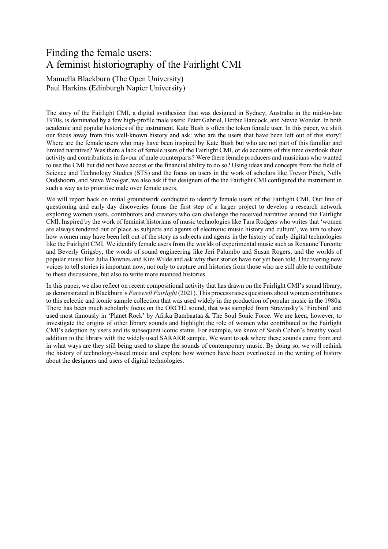## Finding the female users: A feminist historiography of the Fairlight CMI

Manuella Blackburn **(**The Open University) Paul Harkins **(**Edinburgh Napier University)

The story of the Fairlight CMI, a digital synthesizer that was designed in Sydney, Australia in the mid-to-late 1970s, is dominated by a few high-profile male users: Peter Gabriel, Herbie Hancock, and Stevie Wonder. In both academic and popular histories of the instrument, Kate Bush is often the token female user. In this paper, we shift our focus away from this well-known history and ask: who are the users that have been left out of this story? Where are the female users who may have been inspired by Kate Bush but who are not part of this familiar and limited narrative? Was there a lack of female users of the Fairlight CMI, or do accounts of this time overlook their activity and contributions in favour of male counterparts? Were there female producers and musicians who wanted to use the CMI but did not have access or the financial ability to do so? Using ideas and concepts from the field of Science and Technology Studies (STS) and the focus on users in the work of scholars like Trevor Pinch, Nelly Oudshoorn, and Steve Woolgar, we also ask if the designers of the the Fairlight CMI configured the instrument in such a way as to prioritise male over female users.

We will report back on initial groundwork conducted to identify female users of the Fairlight CMI. Our line of questioning and early day discoveries forms the first step of a larger project to develop a research network exploring women users, contributors and creators who can challenge the received narrative around the Fairlight CMI. Inspired by the work of feminist historians of music technologies like Tara Rodgers who writes that 'women are always rendered out of place as subjects and agents of electronic music history and culture', we aim to show how women may have been left out of the story as subjects and agents in the history of early digital technologies like the Fairlight CMI. We identify female users from the worlds of experimental music such as Roxanne Turcotte and Beverly Grigsby, the words of sound engineering like Jeri Palumbo and Susan Rogers, and the worlds of popular music like Julia Downes and Kim Wilde and ask why their stories have not yet been told. Uncovering new voices to tell stories is important now, not only to capture oral histories from those who are still able to contribute to these discussions, but also to write more nuanced histories.

In this paper, we also reflect on recent compositional activity that has drawn on the Fairlight CMI's sound library, as demonstrated in Blackburn's *Farewell Fairlight* (2021). This process raises questions about women contributors to this eclectic and iconic sample collection that was used widely in the production of popular music in the 1980s. There has been much scholarly focus on the ORCH2 sound, that was sampled from Stravinsky's 'Firebird' and used most famously in 'Planet Rock' by Afrika Bambaataa & The Soul Sonic Force. We are keen, however, to investigate the origins of other library sounds and highlight the role of women who contributed to the Fairlight CMI's adoption by users and its subsequent iconic status. For example, we know of Sarah Cohen's breathy vocal addition to the library with the widely used SARARR sample. We want to ask where these sounds came from and in what ways are they still being used to shape the sounds of contemporary music. By doing so, we will rethink the history of technology-based music and explore how women have been overlooked in the writing of history about the designers and users of digital technologies.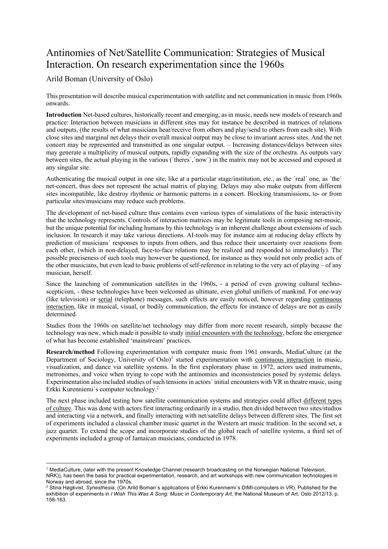## Antinomies of Net/Satellite Communication: Strategies of Musical Interaction. On research experimentation since the 1960s

### Arild Boman (University of Oslo)

This presentation will describe musical experimentation with satellite and net communication in music from 1960s onwards.

**Introduction** Net-based cultures, historically recent and emerging, as in music, needs new models of research and practice: Interaction between musicians in different sites may for instance be described in matrices of relations and outputs, (the results of what musicians hear/receive from others and play/send to others from each site). With close sites and marginal net delays their overall musical output may be close to invariant across sites. And the net concert may be represented and transmitted as one singular output. – Increasing distances/delays between sites may generate a multiplicity of musical outputs, rapidly expanding with the size of the orchestra. As outputs vary between sites, the actual playing in the various ('theres','now') in the matrix may not be accessed and exposed at any singular site.

Authenticating the musical output in one site, like at a particular stage/institution, etc., as the ´real´ one, as ´the´ net-concert, thus does not represent the actual matrix of playing. Delays may also make outputs from different sites incompatible, like destroy rhythmic or harmonic patterns in a concert. Blocking transmissions, to- or from particular sites/musicians may reduce such problems.

The development of net-based culture thus contains even various types of simulations of the basic interactivity that the technology represents. Controls of interaction matrices may be legitimate tools in composing net-music, but the unique potential for including humans by this technology is an inherent challenge about extensions of such inclusion. In research it may take various directions. AI-tools may for instance aim at reducing delay effects by prediction of musicians´ responses to inputs from others, and thus reduce their uncertainty over reactions from each other, (which in non-delayed, face-to-face relations may be realized and responded to immediately). The possible preciseness of such tools may however be questioned, for instance as they would not only predict acts of the other musicians, but even lead to basic problems of self-reference in relating to the very act of playing – of any musician, herself.

Since the launching of communication satellites in the 1960s, - a period of even growing cultural technoscepticism, - these technologies have been welcomed as ultimate, even global unifiers of mankind. For one-way (like television) or serial (telephone) messages, such effects are easily noticed, however regarding continuous interaction, like in musical, visual, or bodily communication, the effects for instance of delays are not as easily determined.

Studies from the 1960s on satellite/net technology may differ from more recent research, simply because the technology was new, which made it possible to study initial encounters with the technology, before the emergence of what has become established 'mainstream' practices.

**Research/method** Following experimentation with computer music from 1961 onwards, MediaCulture (at the Department of Sociology, University of Oslo)<sup>1</sup> started experimentation with continuous interaction in music, visualization, and dance via satellite systems. In the first exploratory phase in 1972, actors used instruments, metronomes, and voice when trying to cope with the antinomies and inconsistencies posed by systemic delays. Experimentation also included studies of such tensions in actors´ initial encounters with VR in theatre music, using Erkki Kurenniemi´s computer technology.2

The next phase included testing how satellite communication systems and strategies could affect different types of culture. This was done with actors first interacting ordinarily in a studio, then divided between two sites/studios and interacting via a network, and finally interacting with net/satellite delays between different sites. The first set of experiments included a classical chamber music quartet in the Western art music tradition. In the second set, a jazz quartet. To extend the scope and incorporate studies of the global reach of satellite systems, a third set of experiments included a group of Jamaican musicians, conducted in 1978.

<sup>&</sup>lt;sup>1</sup> MediaCulture, (later with the present Knowledge Channel (research broadcasting on the Norwegian National Television, NRK)), has been the basis for practical experimentation, research, and art workshops with new communication technologies in Norway and abroad, since the 1970s.

<sup>2</sup> Stina Høgkvist, *Synesthesia*, (On Arild Boman´s applications of Erkki Kurenniemi´s DIMI-computers in VR). Published for the exhibition of experiments in *I Wish This Was A Song: Music in Contemporary Art*, the National Museum of Art, Oslo 2012/13. p. 158-163.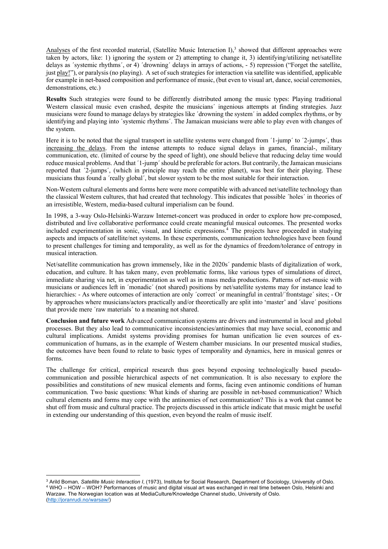Analyses of the first recorded material, (Satellite Music Interaction I), $3$  showed that different approaches were taken by actors, like: 1) ignoring the system or 2) attempting to change it, 3) identifying/utilizing net/satellite delays as ´systemic rhythms´, or 4) ´drowning´ delays in arrays of actions, - 5) repression ("Forget the satellite, just play!"), or paralysis (no playing). A set of such strategies for interaction via satellite was identified, applicable for example in net-based composition and performance of music, (but even to visual art, dance, social ceremonies, demonstrations, etc.)

**Results** Such strategies were found to be differently distributed among the music types: Playing traditional Western classical music even crashed, despite the musicians' ingenious attempts at finding strategies. Jazz musicians were found to manage delays by strategies like ´drowning the system´ in added complex rhythms, or by identifying and playing into ´systemic rhythms´. The Jamaican musicians were able to play even with changes of the system.

Here it is to be noted that the signal transport in satellite systems were changed from '1-jump' to '2-jumps', thus increasing the delays. From the intense attempts to reduce signal delays in games, financial-, military communication, etc. (limited of course by the speed of light), one should believe that reducing delay time would reduce musical problems. And that ´1-jump´ should be preferable for actors. But contrarily, the Jamaican musicians reported that ´2-jumps´, (which in principle may reach the entire planet), was best for their playing. These musicians thus found a ´really global´, but slower system to be the most suitable for their interaction.

Non-Western cultural elements and forms here were more compatible with advanced net/satellite technology than the classical Western cultures, that had created that technology. This indicates that possible ´holes´ in theories of an irresistible, Western, media-based cultural imperialism can be found.

In 1998, a 3-way Oslo-Helsinki-Warzaw Internet-concert was produced in order to explore how pre-composed, distributed and live collaborative performance could create meaningful musical outcomes. The presented works included experimentation in sonic, visual, and kinetic expressions.4 The projects have proceeded in studying aspects and impacts of satellite/net systems. In these experiments, communication technologies have been found to present challenges for timing and temporality, as well as for the dynamics of freedom/tolerance of entropy in musical interaction.

Net/satellite communication has grown immensely, like in the 2020s´ pandemic blasts of digitalization of work, education, and culture. It has taken many, even problematic forms, like various types of simulations of direct, immediate sharing via net, in experimentation as well as in mass media productions. Patterns of net-music with musicians or audiences left in ´monadic´ (not shared) positions by net/satellite systems may for instance lead to hierarchies: - As where outcomes of interaction are only 'correct' or meaningful in central/'frontstage' sites; - Or by approaches where musicians/actors practically and/or theoretically are split into 'master' and ´slave´ positions that provide mere ´raw materials´ to a meaning not shared.

**Conclusion and future work** Advanced communication systems are drivers and instrumental in local and global processes. But they also lead to communicative inconsistencies/antinomies that may have social, economic and cultural implications. Amidst systems providing promises for human unification lie even sources of excommunication of humans, as in the example of Western chamber musicians. In our presented musical studies, the outcomes have been found to relate to basic types of temporality and dynamics, here in musical genres or forms.

The challenge for critical, empirical research thus goes beyond exposing technologically based pseudocommunication and possible hierarchical aspects of net communication. It is also necessary to explore the possibilities and constitutions of new musical elements and forms, facing even antinomic conditions of human communication. Two basic questions: What kinds of sharing are possible in net-based communication? Which cultural elements and forms may cope with the antinomies of net communication? This is a work that cannot be shut off from music and cultural practice. The projects discussed in this article indicate that music might be useful in extending our understanding of this question, even beyond the realm of music itself.

<sup>3</sup> Arild Boman*, Satellite Music Interaction I*, (1973), Institute for Social Research, Department of Sociology, University of Oslo. <sup>4</sup> WHO – HOW – WOH? Performances of music and digital visual art was exchanged in real time between Oslo, Helsinki and Warzaw. The Norwegian location was at MediaCulture/Knowledge Channel studio, University of Oslo. (http://joranrudi.no/warsaw/)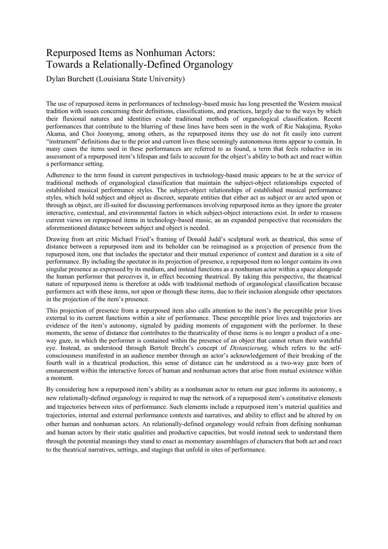## Repurposed Items as Nonhuman Actors: Towards a Relationally-Defined Organology

Dylan Burchett (Louisiana State University)

The use of repurposed items in performances of technology-based music has long presented the Western musical tradition with issues concerning their definitions, classifications, and practices, largely due to the ways by which their fluxional natures and identities evade traditional methods of organological classification. Recent performances that contribute to the blurring of these lines have been seen in the work of Rie Nakajima, Ryoko Akama, and Choi Joonyong, among others, as the repurposed items they use do not fit easily into current "instrument" definitions due to the prior and current lives these seemingly autonomous items appear to contain. In many cases the items used in these performances are referred to as found, a term that feels reductive in its assessment of a repurposed item's lifespan and fails to account for the object's ability to both act and react within a performance setting.

Adherence to the term found in current perspectives in technology-based music appears to be at the service of traditional methods of organological classification that maintain the subject-object relationships expected of established musical performance styles. The subject-object relationships of established musical performance styles, which hold subject and object as discreet, separate entities that either act as subject or are acted upon or through as object, are ill-suited for discussing performances involving repurposed items as they ignore the greater interactive, contextual, and environmental factors in which subject-object interactions exist. In order to reassess current views on repurposed items in technology-based music, an an expanded perspective that reconsiders the aforementioned distance between subject and object is needed.

Drawing from art critic Michael Fried's framing of Donald Judd's sculptural work as theatrical, this sense of distance between a repurposed item and its beholder can be reimagined as a projection of presence from the repurposed item, one that includes the spectator and their mutual experience of context and duration in a site of performance. By including the spectator in its projection of presence, a repurposed item no longer contains its own singular presence as expressed by its medium, and instead functions as a nonhuman actor within a space alongside the human performer that perceives it, in effect becoming theatrical. By taking this perspective, the theatrical nature of repurposed items is therefore at odds with traditional methods of organological classification because performers act with these items, not upon or through these items, due to their inclusion alongside other spectators in the projection of the item's presence.

This projection of presence from a repurposed item also calls attention to the item's the perceptible prior lives external to its current functions within a site of performance. These perceptible prior lives and trajectories are evidence of the item's autonomy, signaled by guiding moments of engagement with the performer. In these moments, the sense of distance that contributes to the theatricality of these items is no longer a product of a oneway gaze, in which the performer is contained within the presence of an object that cannot return their watchful eye. Instead, as understood through Bertolt Brecht's concept of *Distanzierung,* which refers to the selfconsciousness manifested in an audience member through an actor's acknowledgement of their breaking of the fourth wall in a theatrical production, this sense of distance can be understood as a two-way gaze born of ensnarement within the interactive forces of human and nonhuman actors that arise from mutual existence within a moment.

By considering how a repurposed item's ability as a nonhuman actor to return our gaze informs its autonomy, a new relationally-defined organology is required to map the network of a repurposed item's constitutive elements and trajectories between sites of performance. Such elements include a repurposed item's material qualities and trajectories, internal and external performance contexts and narratives, and ability to effect and be altered by on other human and nonhuman actors. An relationally-defined organology would refrain from defining nonhuman and human actors by their static qualities and productive capacities, but would instead seek to understand them through the potential meanings they stand to enact as momentary assemblages of characters that both act and react to the theatrical narratives, settings, and stagings that unfold in sites of performance.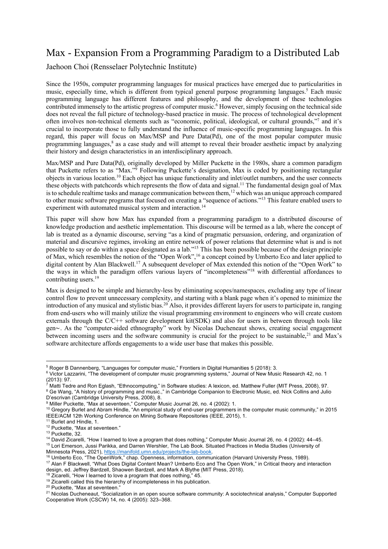## Max - Expansion From a Programming Paradigm to a Distributed Lab

Jaehoon Choi (Rensselaer Polytechnic Institute)

Since the 1950s, computer programming languages for musical practices have emerged due to particularities in music, especially time, which is different from typical general purpose programming languages.<sup>5</sup> Each music programming language has different features and philosophy, and the development of these technologies contributed immensely to the artistic progress of computer music.<sup>6</sup> However, simply focusing on the technical side does not reveal the full picture of technology-based practice in music. The process of technological development often involves non-technical elements such as "economic, political, ideological, or cultural grounds,"7 and it's crucial to incorporate those to fully understand the influence of music-specific programming languages. In this regard, this paper will focus on Max/MSP and Pure Data(Pd), one of the most popular computer music programming languages,<sup>8</sup> as a case study and will attempt to reveal their broader aesthetic impact by analyzing their history and design characteristics in an interdisciplinary approach.

Max/MSP and Pure Data(Pd), originally developed by Miller Puckette in the 1980s, share a common paradigm that Puckette refers to as "Max."9 Following Puckette's designation, Max is coded by positioning rectangular objects in various location.10 Each object has unique functionality and inlet/outlet numbers, and the user connects these objects with patchcords which represents the flow of data and signal.<sup>11</sup> The fundamental design goal of Max is to schedule realtime tasks and manage communication between them,<sup>12</sup> which was an unique approach compared to other music software programs that focused on creating a "sequence of actions."13 This feature enabled users to experiment with automated musical system and interaction.<sup>14</sup>

This paper will show how Max has expanded from a programming paradigm to a distributed discourse of knowledge production and aesthetic implementation. This discourse will be termed as a lab, where the concept of lab is treated as a dynamic discourse, serving "as a kind of pragmatic persuasion, ordering, and organization of material and discursive regimes, invoking an entire network of power relations that determine what is and is not possible to say or do within a space designated as a lab."15 This has been possible because of the design principle of Max, which resembles the notion of the "Open Work",<sup>16</sup> a concept coined by Umberto Eco and later applied to digital content by Alan Blackwell.17 A subsequent developer of Max extended this notion of the "Open Work" to the ways in which the paradigm offers various layers of "incompleteness"18 with differential affordances to contributing users.<sup>19</sup>

Max is designed to be simple and hierarchy-less by eliminating scopes/namespaces, excluding any type of linear control flow to prevent unnecessary complexity, and starting with a blank page when it's opened to minimize the introduction of any musical and stylistic bias.20 Also, it provides different layers for users to participate in, ranging from end-users who will mainly utilize the visual programming environment to engineers who will create custom externals through the  $C/C++$  software development kit(SDK) and also for users in between through tools like gen∼. As the "computer-aided ethnography" work by Nicolas Ducheneaut shows, creating social engagement between incoming users and the software community is crucial for the project to be sustainable,<sup>21</sup> and Max's software architecture affords engagements to a wide user base that makes this possible.

<sup>20</sup> Puckette, "Max at seventeen."

<sup>5</sup> Roger B Dannenberg, "Languages for computer music," Frontiers in Digital Humanities 5 (2018): 3.

<sup>&</sup>lt;sup>6</sup> Victor Lazzarini, "The development of computer music programming systems," Journal of New Music Research 42, no. 1 (2013): 97.

 $^7$  Matti Tedre and Ron Eglash, "Ethnocomputing," in Software studies: A lexicon, ed. Matthew Fuller (MIT Press, 2008), 97. <sup>8</sup> Ge Wang, "A history of programming and music.," in Cambridge Companion to Electronic Music, ed. Nick Collins and Julio D'escrivan (Cambridge University Press, 2008), 8.

<sup>&</sup>lt;sup>9</sup> Miller Puckette, "Max at seventeen," Computer Music Journal 26, no. 4 (2002): 1.

<sup>&</sup>lt;sup>10</sup> Gregory Burlet and Abram Hindle, "An empirical study of end-user programmers in the computer music community," in 2015 IEEE/ACM 12th Working Conference on Mining Software Repositories (IEEE, 2015), 1.

<sup>&</sup>lt;sup>11</sup> Burlet and Hindle, 1.

<sup>12</sup> Puckette, "Max at seventeen."

<sup>13</sup> Puckette, 32.

<sup>&</sup>lt;sup>14</sup> David Zicarelli, "How I learned to love a program that does nothing," Computer Music Journal 26, no. 4 (2002): 44–45. <sup>15</sup> Lori Emerson, Jussi Parikka, and Darren Wershler, The Lab Book. Situated Practices in Media Studies (University of Minnesota Press, 2021), https://manifold.umn.edu/projects/the-lab-book.

<sup>16</sup> Umberto Eco, "The OpenWork," chap. Openness, information, communication (Harvard University Press, 1989).

<sup>17</sup> Alan F Blackwell, "What Does Digital Content Mean? Umberto Eco and The Open Work," in Critical theory and interaction design, ed. Jeffrey Bardzell, Shaowen Bardzell, and Mark A Blythe (MIT Press, 2018).

<sup>&</sup>lt;sup>18</sup> Zicarelli, "How I learned to love a program that does nothing," 45.

<sup>19</sup> Zicarelli called this the hierarchy of incompleteness in his publication.

<sup>&</sup>lt;sup>21</sup> Nicolas Ducheneaut, "Socialization in an open source software community: A sociotechnical analysis," Computer Supported Cooperative Work (CSCW) 14, no. 4 (2005): 323–368.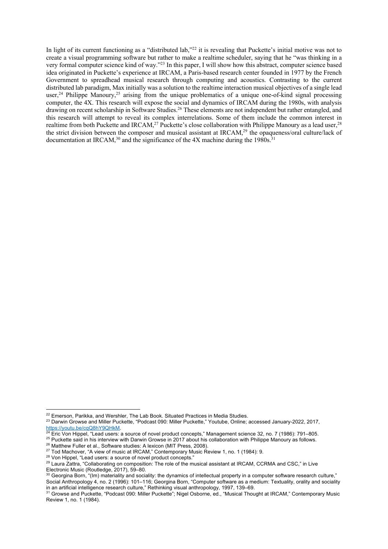In light of its current functioning as a "distributed lab,"<sup>22</sup> it is revealing that Puckette's initial motive was not to create a visual programming software but rather to make a realtime scheduler, saying that he "was thinking in a very formal computer science kind of way."23 In this paper, I will show how this abstract, computer science based idea originated in Puckette's experience at IRCAM, a Paris-based research center founded in 1977 by the French Government to spreadhead musical research through computing and acoustics. Contrasting to the current distributed lab paradigm, Max initially was a solution to the realtime interaction musical objectives of a single lead user,<sup>24</sup> Philippe Manoury,<sup>25</sup> arising from the unique problematics of a unique one-of-kind signal processing computer, the 4X. This research will expose the social and dynamics of IRCAM during the 1980s, with analysis drawing on recent scholarship in Software Studies.26 These elements are not independent but rather entangled, and this research will attempt to reveal its complex interrelations. Some of them include the common interest in realtime from both Puckette and IRCAM,<sup>27</sup> Puckette's close collaboration with Philippe Manoury as a lead user,<sup>28</sup> the strict division between the composer and musical assistant at IRCAM,<sup>29</sup> the opaqueness/oral culture/lack of documentation at IRCAM,<sup>30</sup> and the significance of the 4X machine during the 1980s.<sup>31</sup>

<sup>26</sup> Matthew Fuller et al., Software studies: A lexicon (MIT Press, 2008).

<sup>&</sup>lt;sup>22</sup> Emerson, Parikka, and Wershler, The Lab Book. Situated Practices in Media Studies.

<sup>&</sup>lt;sup>23</sup> Darwin Growse and Miller Puckette, "Podcast 090: Miller Puckette," Youtube, Online; accessed January-2022, 2017, https://youtu.be/cqQ8hY9QHkM.

<sup>&</sup>lt;sup>24</sup> Eric Von Hippel, "Lead users: a source of novel product concepts," Management science 32, no. 7 (1986): 791–805.

<sup>&</sup>lt;sup>25</sup> Puckette said in his interview with Darwin Growse in 2017 about his collaboration with Philippe Manoury as follows.

<sup>&</sup>lt;sup>27</sup> Tod Machover, "A view of music at IRCAM," Contemporary Music Review 1, no. 1 (1984): 9.

<sup>28</sup> Von Hippel, "Lead users: a source of novel product concepts."

<sup>&</sup>lt;sup>29</sup> Laura Zattra, "Collaborating on composition: The role of the musical assistant at IRCAM, CCRMA and CSC," in Live Electronic Music (Routledge, 2017), 59–80.

 $30$  Georgina Born, "(Im) materiality and sociality: the dynamics of intellectual property in a computer software research culture," Social Anthropology 4, no. 2 (1996): 101–116; Georgina Born, "Computer software as a medium: Textuality, orality and sociality in an artificial intelligence research culture," Rethinking visual anthropology, 1997, 139–69.

<sup>&</sup>lt;sup>31</sup> Growse and Puckette, "Podcast 090: Miller Puckette"; Nigel Osborne, ed., "Musical Thought at IRCAM," Contemporary Music Review 1, no. 1 (1984).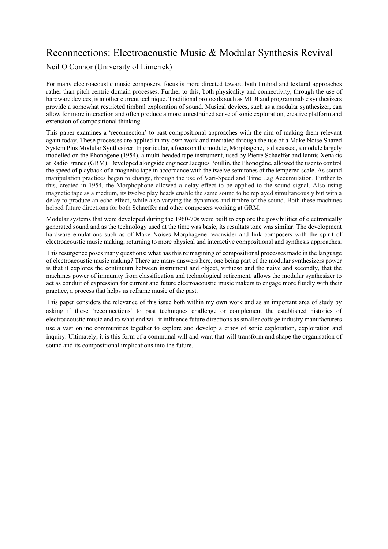## Reconnections: Electroacoustic Music & Modular Synthesis Revival

### Neil O Connor (University of Limerick)

For many electroacoustic music composers, focus is more directed toward both timbral and textural approaches rather than pitch centric domain processes. Further to this, both physicality and connectivity, through the use of hardware devices, is another current technique. Traditional protocols such as MIDI and programmable synthesizers provide a somewhat restricted timbral exploration of sound. Musical devices, such as a modular synthesizer, can allow for more interaction and often produce a more unrestrained sense of sonic exploration, creative platform and extension of compositional thinking.

This paper examines a 'reconnection' to past compositional approaches with the aim of making them relevant again today. These processes are applied in my own work and mediated through the use of a Make Noise Shared System Plus Modular Synthesizer. In particular, a focus on the module, Morphagene, is discussed, a module largely modelled on the Phonogene (1954), a multi-headed tape instrument, used by Pierre Schaeffer and Iannis Xenakis at Radio France (GRM). Developed alongside engineer Jacques Poullin, the Phonogène, allowed the user to control the speed of playback of a magnetic tape in accordance with the twelve semitones of the tempered scale. As sound manipulation practices began to change, through the use of Vari-Speed and Time Lag Accumulation. Further to this, created in 1954, the Morphophone allowed a delay effect to be applied to the sound signal. Also using magnetic tape as a medium, its twelve play heads enable the same sound to be replayed simultaneously but with a delay to produce an echo effect, while also varying the dynamics and timbre of the sound. Both these machines helped future directions for both Schaeffer and other composers working at GRM.

Modular systems that were developed during the 1960-70s were built to explore the possibilities of electronically generated sound and as the technology used at the time was basic, its resultats tone was similar. The development hardware emulations such as of Make Noises Morphagene reconsider and link composers with the spirit of electroacoustic music making, returning to more physical and interactive compositional and synthesis approaches.

This resurgence poses many questions; what has this reimagining of compositional processes made in the language of electroacoustic music making? There are many answers here, one being part of the modular synthesizers power is that it explores the continuum between instrument and object, virtuoso and the naive and secondly, that the machines power of immunity from classification and technological retirement, allows the modular synthesizer to act as conduit of expression for current and future electroacoustic music makers to engage more fluidly with their practice, a process that helps us reframe music of the past.

This paper considers the relevance of this issue both within my own work and as an important area of study by asking if these 'reconnections' to past techniques challenge or complement the established histories of electroacoustic music and to what end will it influence future directions as smaller cottage industry manufacturers use a vast online communities together to explore and develop a ethos of sonic exploration, exploitation and inquiry. Ultimately, it is this form of a communal will and want that will transform and shape the organisation of sound and its compositional implications into the future.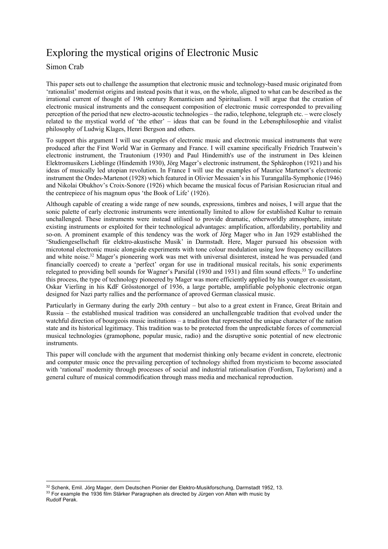# Exploring the mystical origins of Electronic Music

### Simon Crab

This paper sets out to challenge the assumption that electronic music and technology-based music originated from 'rationalist' modernist origins and instead posits that it was, on the whole, aligned to what can be described as the irrational current of thought of 19th century Romanticism and Spiritualism. I will argue that the creation of electronic musical instruments and the consequent composition of electronic music corresponded to prevailing perception of the period that new electro-acoustic technologies – the radio, telephone, telegraph etc. – were closely related to the mystical world of 'the ether' – ideas that can be found in the Lebensphilosophie and vitalist philosophy of Ludwig Klages, Henri Bergson and others.

To support this argument I will use examples of electronic music and electronic musical instruments that were produced after the First World War in Germany and France. I will examine specifically Friedrich Trautwein's electronic instrument, the Trautonium (1930) and Paul Hindemith's use of the instrument in Des kleinen Elektromusikers Lieblinge (Hindemith 1930), Jörg Mager's electronic instrument, the Sphärophon (1921) and his ideas of musically led utopian revolution. In France I will use the examples of Maurice Martenot's electronic instrument the Ondes-Martenot (1928) which featured in Olivier Messaien's in his Turangalîla-Symphonie (1946) and Nikolai Obukhov's Croix-Sonore (1926) which became the musical focus of Parisian Rosicrucian ritual and the centrepiece of his magnum opus 'the Book of Life' (1926).

Although capable of creating a wide range of new sounds, expressions, timbres and noises, I will argue that the sonic palette of early electronic instruments were intentionally limited to allow for established Kultur to remain unchallenged. These instruments were instead utilised to provide dramatic, otherworldly atmosphere, imitate existing instruments or exploited for their technological advantages: amplification, affordability, portability and so-on. A prominent example of this tendency was the work of Jörg Mager who in Jan 1929 established the 'Studiengesellschaft für elektro-akustische Musik' in Darmstadt. Here, Mager pursued his obsession with microtonal electronic music alongside experiments with tone colour modulation using low frequency oscillators and white noise.<sup>32</sup> Mager's pioneering work was met with universal disinterest, instead he was persuaded (and financially coerced) to create a 'perfect' organ for use in traditional musical recitals, his sonic experiments relegated to providing bell sounds for Wagner's Parsifal (1930 and 1931) and film sound effects.33 To underline this process, the type of technology pioneered by Mager was more efficiently applied by his younger ex-assistant, Oskar Vierling in his KdF Grösstonorgel of 1936, a large portable, amplifiable polyphonic electronic organ designed for Nazi party rallies and the performance of aproved German classical music.

Particularly in Germany during the early 20th century – but also to a great extent in France, Great Britain and Russia – the established musical tradition was considered an unchallengeable tradition that evolved under the watchful direction of bourgeois music institutions – a tradition that represented the unique character of the nation state and its historical legitimacy. This tradition was to be protected from the unpredictable forces of commercial musical technologies (gramophone, popular music, radio) and the disruptive sonic potential of new electronic instruments.

This paper will conclude with the argument that modernist thinking only became evident in concrete, electronic and computer music once the prevailing perception of technology shifted from mysticism to become associated with 'rational' modernity through processes of social and industrial rationalisation (Fordism, Taylorism) and a general culture of musical commodification through mass media and mechanical reproduction.

<sup>32</sup> Schenk, Emil. Jörg Mager, dem Deutschen Pionier der Elektro-Musikforschung, Darmstadt 1952, 13. 33 For example the 1936 film Stärker Paragraphen als directed by Jürgen von Alten with music by Rudolf Perak.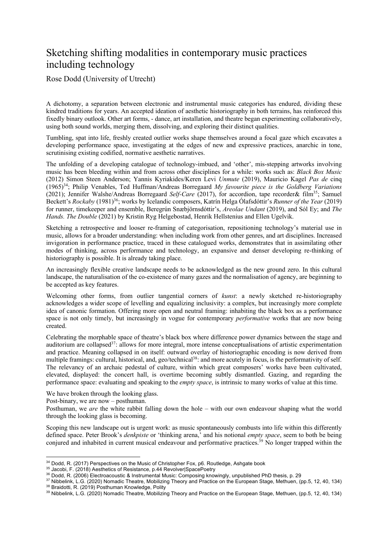## Sketching shifting modalities in contemporary music practices including technology

Rose Dodd (University of Utrecht)

A dichotomy, a separation between electronic and instrumental music categories has endured, dividing these kindred traditions for years. An accepted ideation of aesthetic historiography in both terrains, has reinforced this fixedly binary outlook. Other art forms, - dance, art installation, and theatre began experimenting collaboratively, using both sound worlds, merging them, dissolving, and exploring their distinct qualities.

Tumbling, spat into life, freshly created outlier works shape themselves around a focal gaze which excavates a developing performance space, investigating at the edges of new and expressive practices, anarchic in tone, scrutinising existing codified, normative aesthetic narratives.

The unfolding of a developing catalogue of technology-imbued, and 'other', mis-stepping artworks involving music has been bleeding within and from across other disciplines for a while: works such as: *Black Box Music*  (2012) Simon Steen Anderson; Yannis Kyriakides/Keren Levi *Unmute* (2019), Mauricio Kagel *Pas de* cinq (1965)34; Philip Venables, Ted Huffman/Andreas Borregaard *My favourite piece is the Goldberg Variations*  (2021); Jennifer Walshe/Andreas Borregaard *Self-Care* (2017), for accordion, tape recorder& film35; Samuel Beckett's *Rockaby* (1981)36; works by Icelandic composers, Katrín Helga Ólafsdóttir's *Runner of the Year* (2019) for runner, timekeeper and ensemble, Beregrún Snæbjörnsdóttir's, *Areolae Undant* (2019), and Sól Ey; and *The Hands. The Double* (2021) by Kristin Ryg Helgebostad, Henrik Hellstenius and Ellen Ugelvik.

Sketching a retrospective and looser re-framing of categorisation, repositioning technology's material use in music, allows for a broader understanding: when including work from other genres, and art disciplines. Increased invigoration in performance practice, traced in these catalogued works, demonstrates that in assimilating other modes of thinking, across performance and technology, an expansive and denser developing re-thinking of historiography is possible. It is already taking place.

An increasingly flexible creative landscape needs to be acknowledged as the new ground zero. In this cultural landscape, the naturalisation of the co-existence of many gazes and the normalisation of agency, are beginning to be accepted as key features.

Welcoming other forms, from outlier tangential corners of *kunst*: a newly sketched re-historiography acknowledges a wider scope of levelling and equalizing inclusivity: a complex, but increasingly more complete idea of canonic formation. Offering more open and neutral framing: inhabiting the black box as a performance space is not only timely, but increasingly in vogue for contemporary *performative* works that are now being created.

Celebrating the morphable space of theatre's black box where difference power dynamics between the stage and auditorium are collapsed<sup>37</sup>: allows for more integral, more intense conceptualisations of artistic experimentation and practice. Meaning collapsed in on itself: outward overlay of historiographic encoding is now derived from multiple framings: cultural, historical, and, geo/technical<sup>38</sup>: and more acutely in focus, is the performativity of self. The relevancy of an archaic pedestal of culture, within which great composers' works have been cultivated, elevated, displayed: the concert hall, is overtime becoming subtly dismantled. Gazing, and regarding the performance space: evaluating and speaking to the *empty space*, is intrinsic to many works of value at this time.

We have broken through the looking glass.

Post-binary, we are now – posthuman.

Posthuman, we *are* the white rabbit falling down the hole – with our own endeavour shaping what the world through the looking glass is becoming.

Scoping this new landscape out is urgent work: as music spontaneously combusts into life within this differently defined space. Peter Brook's *denkpiste* or 'thinking arena,' and his notional *empty space*, seem to both be being conjured and inhabited in current musical endeavour and performative practices.<sup>39</sup> No longer trapped within the

 $34$  Dodd, R. (2017) Perspectives on the Music of Christopher Fox, p6. Routledge, Ashgate book  $35$  Jacobi, F. (2018) Aesthetics of Resistance, p.44 Revolver Space Poetry

<sup>&</sup>lt;sup>36</sup> Dodd, R. (2006) Electroacoustic & Instrumental Music: Composing knowingly, unpublished PhD thesis, p. 29

<sup>37</sup> Nibbelink, L.G. (2020) Nomadic Theatre, Mobilizing Theory and Practice on the European Stage, Methuen, (pp.5, 12, 40, 134) 38 Braidotti, R. (2019) Posthuman Knowledge, Polity

<sup>39</sup> Nibbelink, L.G. (2020) Nomadic Theatre, Mobilizing Theory and Practice on the European Stage, Methuen, (pp.5, 12, 40, 134)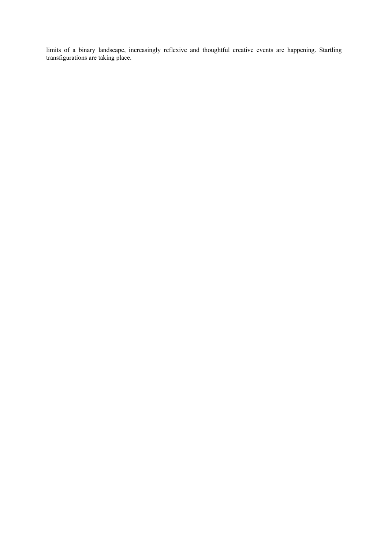limits of a binary landscape, increasingly reflexive and thoughtful creative events are happening. Startling transfigurations are taking place.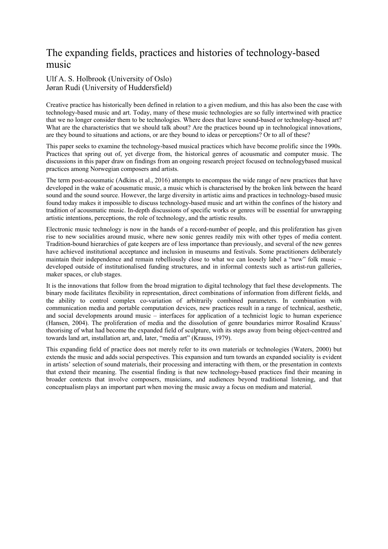## The expanding fields, practices and histories of technology-based music

### Ulf A. S. Holbrook (University of Oslo) Jøran Rudi (University of Huddersfield)

Creative practice has historically been defined in relation to a given medium, and this has also been the case with technology-based music and art. Today, many of these music technologies are so fully intertwined with practice that we no longer consider them to be technologies. Where does that leave sound-based or technology-based art? What are the characteristics that we should talk about? Are the practices bound up in technological innovations, are they bound to situations and actions, or are they bound to ideas or perceptions? Or to all of these?

This paper seeks to examine the technology-based musical practices which have become prolific since the 1990s. Practices that spring out of, yet diverge from, the historical genres of acousmatic and computer music. The discussions in this paper draw on findings from an ongoing research project focused on technologybased musical practices among Norwegian composers and artists.

The term post-acousmatic (Adkins et al., 2016) attempts to encompass the wide range of new practices that have developed in the wake of acousmatic music, a music which is characterised by the broken link between the heard sound and the sound source. However, the large diversity in artistic aims and practices in technology-based music found today makes it impossible to discuss technology-based music and art within the confines of the history and tradition of acousmatic music. In-depth discussions of specific works or genres will be essential for unwrapping artistic intentions, perceptions, the role of technology, and the artistic results.

Electronic music technology is now in the hands of a record-number of people, and this proliferation has given rise to new socialities around music, where new sonic genres readily mix with other types of media content. Tradition-bound hierarchies of gate keepers are of less importance than previously, and several of the new genres have achieved institutional acceptance and inclusion in museums and festivals. Some practitioners deliberately maintain their independence and remain rebelliously close to what we can loosely label a "new" folk music – developed outside of institutionalised funding structures, and in informal contexts such as artist-run galleries, maker spaces, or club stages.

It is the innovations that follow from the broad migration to digital technology that fuel these developments. The binary mode facilitates flexibility in representation, direct combinations of information from different fields, and the ability to control complex co-variation of arbitrarily combined parameters. In combination with communication media and portable computation devices, new practices result in a range of technical, aesthetic, and social developments around music – interfaces for application of a technicist logic to human experience (Hansen, 2004). The proliferation of media and the dissolution of genre boundaries mirror Rosalind Krauss' theorising of what had become the expanded field of sculpture, with its steps away from being object-centred and towards land art, installation art, and, later, "media art" (Krauss, 1979).

This expanding field of practice does not merely refer to its own materials or technologies (Waters, 2000) but extends the music and adds social perspectives. This expansion and turn towards an expanded sociality is evident in artists' selection of sound materials, their processing and interacting with them, or the presentation in contexts that extend their meaning. The essential finding is that new technology-based practices find their meaning in broader contexts that involve composers, musicians, and audiences beyond traditional listening, and that conceptualism plays an important part when moving the music away a focus on medium and material.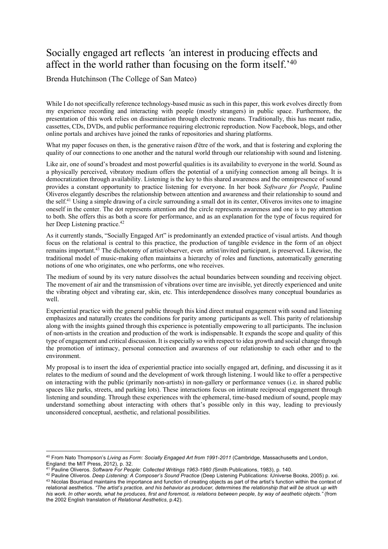## Socially engaged art reflects *'*an interest in producing effects and affect in the world rather than focusing on the form itself.'40

Brenda Hutchinson (The College of San Mateo)

While I do not specifically reference technology-based music as such in this paper, this work evolves directly from my experience recording and interacting with people (mostly strangers) in public space. Furthermore, the presentation of this work relies on dissemination through electronic means. Traditionally, this has meant radio, cassettes, CDs, DVDs, and public performance requiring electronic reproduction. Now Facebook, blogs, and other online portals and archives have joined the ranks of repositories and sharing platforms.

What my paper focuses on then, is the generative raison d'être of the work, and that is fostering and exploring the quality of our connections to one another and the natural world through our relationship with sound and listening.

Like air, one of sound's broadest and most powerful qualities is its availability to everyone in the world. Sound as a physically perceived, vibratory medium offers the potential of a unifying connection among all beings. It is democratization through availability. Listening is the key to this shared awareness and the omnipresence of sound provides a constant opportunity to practice listening for everyone. In her book *Software for People,* Pauline Oliveros elegantly describes the relationship between attention and awareness and their relationship to sound and the self.<sup>41</sup> Using a simple drawing of a circle surrounding a small dot in its center, Oliveros invites one to imagine oneself in the center. The dot represents attention and the circle represents awareness and one is to pay attention to both. She offers this as both a score for performance, and as an explanation for the type of focus required for her Deep Listening practice.<sup>42</sup>

As it currently stands, "Socially Engaged Art" is predominantly an extended practice of visual artists. And though focus on the relational is central to this practice, the production of tangible evidence in the form of an object remains important.43 The dichotomy of artist/observer, even artist/invited participant, is preserved. Likewise, the traditional model of music-making often maintains a hierarchy of roles and functions, automatically generating notions of one who originates, one who performs, one who receives.

The medium of sound by its very nature dissolves the actual boundaries between sounding and receiving object. The movement of air and the transmission of vibrations over time are invisible, yet directly experienced and unite the vibrating object and vibrating ear, skin, etc. This interdependence dissolves many conceptual boundaries as well.

Experiential practice with the general public through this kind direct mutual engagement with sound and listening emphasizes and naturally creates the conditions for parity among participants as well. This parity of relationship along with the insights gained through this experience is potentially empowering to all participants. The inclusion of non-artists in the creation and production of the work is indispensable. It expands the scope and quality of this type of engagement and critical discussion. It is especially so with respect to idea growth and social change through the promotion of intimacy, personal connection and awareness of our relationship to each other and to the environment.

My proposal is to insert the idea of experiential practice into socially engaged art, defining, and discussing it as it relates to the medium of sound and the development of work through listening. I would like to offer a perspective on interacting with the public (primarily non-artists) in non-gallery or performance venues (i.e. in shared public spaces like parks, streets, and parking lots). These interactions focus on intimate reciprocal engagement through listening and sounding. Through these experiences with the ephemeral, time-based medium of sound, people may understand something about interacting with others that's possible only in this way, leading to previously unconsidered conceptual, aesthetic, and relational possibilities.

<sup>40</sup> From Nato Thompson's *Living as Form: Socially Engaged Art from 1991-2011* (Cambridge, Massachusetts and London, England: the MIT Press, 2012), p. 32.

<sup>41</sup> Pauline Oliveros. *Software For People*: *Collected Writings 1963-1980 (*Smith Publications, 1983), p. 140.

<sup>42</sup> Pauline Oliveros. *Deep Listening: A Composer's Sound Practice* (Deep Listening Publications: iUniverse Books, 2005) p. xxi. <sup>43</sup> Nicolas Bourriaud maintains the importance and function of creating objects as part of the artist's function within the context of relational aesthetics. *"The artist's practice, and his behavior as producer, determines the relationship that will be struck up with his work. In other words, what he produces, first and foremost, is relations between people, by way of aesthetic objects."* (from the 2002 English translation of *Relational Aesthetics*, p.42).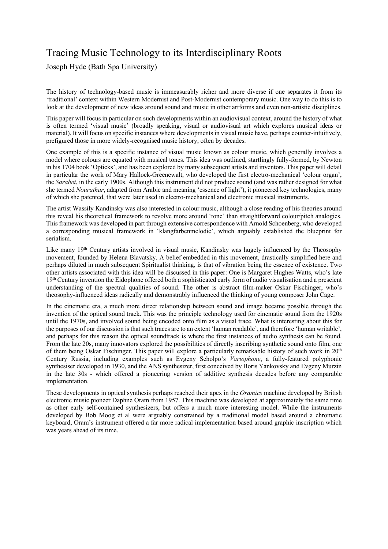# Tracing Music Technology to its Interdisciplinary Roots

Joseph Hyde (Bath Spa University)

The history of technology-based music is immeasurably richer and more diverse if one separates it from its 'traditional' context within Western Modernist and Post-Modernist contemporary music. One way to do this is to look at the development of new ideas around sound and music in other artforms and even non-artistic disciplines.

This paper will focus in particular on such developments within an audiovisual context, around the history of what is often termed 'visual music' (broadly speaking, visual or audiovisual art which explores musical ideas or material). It will focus on specific instances where developments in visual music have, perhaps counter-intuitively, prefigured those in more widely-recognised music history, often by decades.

One example of this is a specific instance of visual music known as colour music, which generally involves a model where colours are equated with musical tones. This idea was outlined, startlingly fully-formed, by Newton in his 1704 book 'Opticks', and has been explored by many subsequent artists and inventors. This paper will detail in particular the work of Mary Hallock-Greenewalt, who developed the first electro-mechanical 'colour organ', the *Sarabet*, in the early 1900s. Although this instrument did not produce sound (and was rather designed for what she termed *Nourathar*, adapted from Arabic and meaning 'essence of light'), it pioneered key technologies, many of which she patented, that were later used in electro-mechanical and electronic musical instruments.

The artist Wassily Kandinsky was also interested in colour music, although a close reading of his theories around this reveal his theoretical framework to revolve more around 'tone' than straightforward colour/pitch analogies. This framework was developed in part through extensive correspondence with Arnold Schoenberg, who developed a corresponding musical framework in 'klangfarbenmelodie', which arguably established the blueprint for serialism.

Like many 19<sup>th</sup> Century artists involved in visual music, Kandinsky was hugely influenced by the Theosophy movement, founded by Helena Blavatsky. A belief embedded in this movement, drastically simplified here and perhaps diluted in much subsequent Spiritualist thinking, is that of vibration being the essence of existence. Two other artists associated with this idea will be discussed in this paper: One is Margaret Hughes Watts, who's late 19th Century invention the Eidophone offered both a sophisticated early form of audio visualisation and a prescient understanding of the spectral qualities of sound. The other is abstract film-maker Oskar Fischinger, who's theosophy-influenced ideas radically and demonstrably influenced the thinking of young composer John Cage.

In the cinematic era, a much more direct relationship between sound and image became possible through the invention of the optical sound track. This was the principle technology used for cinematic sound from the 1920s until the 1970s, and involved sound being encoded onto film as a visual trace. What is interesting about this for the purposes of our discussion is that such traces are to an extent 'human readable', and therefore 'human writable', and perhaps for this reason the optical soundtrack is where the first instances of audio synthesis can be found. From the late 20s, many innovators explored the possibilities of directly inscribing synthetic sound onto film, one of them being Oskar Fischinger. This paper will explore a particularly remarkable history of such work in 20th Century Russia, including examples such as Evgeny Scholpo's *Variophone*, a fully-featured polyphonic synthesiser developed in 1930, and the ANS synthesizer, first conceived by Boris Yankovsky and Evgeny Murzin in the late 30s - which offered a pioneering version of additive synthesis decades before any comparable implementation.

These developments in optical synthesis perhaps reached their apex in the *Oramics* machine developed by British electronic music pioneer Daphne Oram from 1957. This machine was developed at approximately the same time as other early self-contained synthesizers, but offers a much more interesting model. While the instruments developed by Bob Moog et al were arguably constrained by a traditional model based around a chromatic keyboard, Oram's instrument offered a far more radical implementation based around graphic inscription which was years ahead of its time.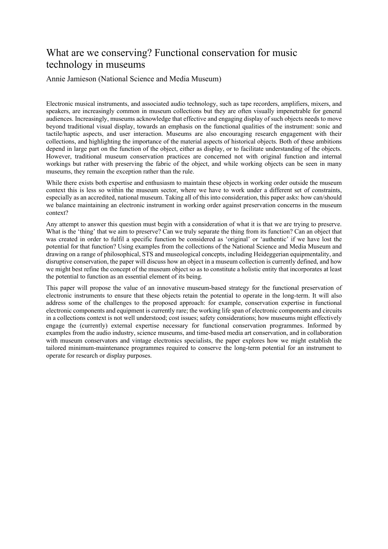## What are we conserving? Functional conservation for music technology in museums

Annie Jamieson (National Science and Media Museum)

Electronic musical instruments, and associated audio technology, such as tape recorders, amplifiers, mixers, and speakers, are increasingly common in museum collections but they are often visually impenetrable for general audiences. Increasingly, museums acknowledge that effective and engaging display of such objects needs to move beyond traditional visual display, towards an emphasis on the functional qualities of the instrument: sonic and tactile/haptic aspects, and user interaction. Museums are also encouraging research engagement with their collections, and highlighting the importance of the material aspects of historical objects. Both of these ambitions depend in large part on the function of the object, either as display, or to facilitate understanding of the objects. However, traditional museum conservation practices are concerned not with original function and internal workings but rather with preserving the fabric of the object, and while working objects can be seen in many museums, they remain the exception rather than the rule.

While there exists both expertise and enthusiasm to maintain these objects in working order outside the museum context this is less so within the museum sector, where we have to work under a different set of constraints, especially as an accredited, national museum. Taking all of this into consideration, this paper asks: how can/should we balance maintaining an electronic instrument in working order against preservation concerns in the museum context?

Any attempt to answer this question must begin with a consideration of what it is that we are trying to preserve. What is the 'thing' that we aim to preserve? Can we truly separate the thing from its function? Can an object that was created in order to fulfil a specific function be considered as 'original' or 'authentic' if we have lost the potential for that function? Using examples from the collections of the National Science and Media Museum and drawing on a range of philosophical, STS and museological concepts, including Heideggerian equipmentality, and disruptive conservation, the paper will discuss how an object in a museum collection is currently defined, and how we might best refine the concept of the museum object so as to constitute a holistic entity that incorporates at least the potential to function as an essential element of its being.

This paper will propose the value of an innovative museum-based strategy for the functional preservation of electronic instruments to ensure that these objects retain the potential to operate in the long-term. It will also address some of the challenges to the proposed approach: for example, conservation expertise in functional electronic components and equipment is currently rare; the working life span of electronic components and circuits in a collections context is not well understood; cost issues; safety considerations; how museums might effectively engage the (currently) external expertise necessary for functional conservation programmes. Informed by examples from the audio industry, science museums, and time-based media art conservation, and in collaboration with museum conservators and vintage electronics specialists, the paper explores how we might establish the tailored minimum-maintenance programmes required to conserve the long-term potential for an instrument to operate for research or display purposes.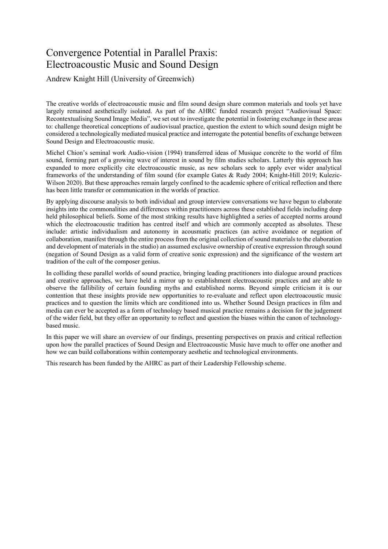## Convergence Potential in Parallel Praxis: Electroacoustic Music and Sound Design

Andrew Knight Hill (University of Greenwich)

The creative worlds of electroacoustic music and film sound design share common materials and tools yet have largely remained aesthetically isolated. As part of the AHRC funded research project "Audiovisual Space: Recontextualising Sound Image Media", we set out to investigate the potential in fostering exchange in these areas to: challenge theoretical conceptions of audiovisual practice, question the extent to which sound design might be considered a technologically mediated musical practice and interrogate the potential benefits of exchange between Sound Design and Electroacoustic music.

Michel Chion's seminal work Audio-vision (1994) transferred ideas of Musique concrète to the world of film sound, forming part of a growing wave of interest in sound by film studies scholars. Latterly this approach has expanded to more explicitly cite electroacoustic music, as new scholars seek to apply ever wider analytical frameworks of the understanding of film sound (for example Gates & Rudy 2004; Knight-Hill 2019; Kulezic-Wilson 2020). But these approaches remain largely confined to the academic sphere of critical reflection and there has been little transfer or communication in the worlds of practice.

By applying discourse analysis to both individual and group interview conversations we have begun to elaborate insights into the commonalities and differences within practitioners across these established fields including deep held philosophical beliefs. Some of the most striking results have highlighted a series of accepted norms around which the electroacoustic tradition has centred itself and which are commonly accepted as absolutes. These include: artistic individualism and autonomy in acousmatic practices (an active avoidance or negation of collaboration, manifest through the entire process from the original collection of sound materials to the elaboration and development of materials in the studio) an assumed exclusive ownership of creative expression through sound (negation of Sound Design as a valid form of creative sonic expression) and the significance of the western art tradition of the cult of the composer genius.

In colliding these parallel worlds of sound practice, bringing leading practitioners into dialogue around practices and creative approaches, we have held a mirror up to establishment electroacoustic practices and are able to observe the fallibility of certain founding myths and established norms. Beyond simple criticism it is our contention that these insights provide new opportunities to re-evaluate and reflect upon electroacoustic music practices and to question the limits which are conditioned into us. Whether Sound Design practices in film and media can ever be accepted as a form of technology based musical practice remains a decision for the judgement of the wider field, but they offer an opportunity to reflect and question the biases within the canon of technologybased music.

In this paper we will share an overview of our findings, presenting perspectives on praxis and critical reflection upon how the parallel practices of Sound Design and Electroacoustic Music have much to offer one another and how we can build collaborations within contemporary aesthetic and technological environments.

This research has been funded by the AHRC as part of their Leadership Fellowship scheme.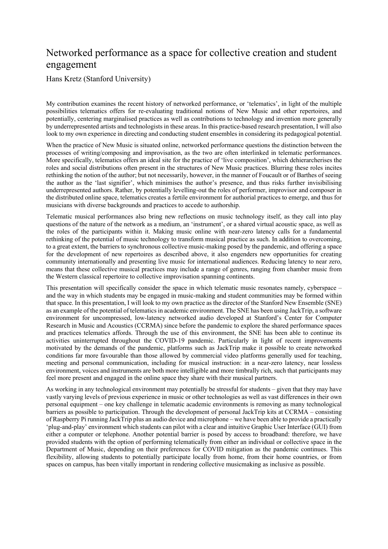## Networked performance as a space for collective creation and student engagement

Hans Kretz (Stanford University)

My contribution examines the recent history of networked performance, or 'telematics', in light of the multiple possibilities telematics offers for re-evaluating traditional notions of New Music and other repertoires, and potentially, centering marginalised practices as well as contributions to technology and invention more generally by underrepresented artists and technologists in these areas. In this practice-based research presentation, I will also look to my own experience in directing and conducting student ensembles in considering its pedagogical potential.

When the practice of New Music is situated online, networked performance questions the distinction between the processes of writing/composing and improvisation, as the two are often interlinked in telematic performances. More specifically, telematics offers an ideal site for the practice of 'live composition', which dehierarcherises the roles and social distributions often present in the structures of New Music practices. Blurring these roles incites rethinking the notion of the author; but not necessarily, however, in the manner of Foucault or of Barthes of seeing the author as the 'last signifier', which minimises the author's presence, and thus risks further invisibilising underrepresented authors. Rather, by potentially levelling-out the roles of performer, improvisor and composer in the distributed online space, telematics creates a fertile environment for authorial practices to emerge, and thus for musicians with diverse backgrounds and practices to accede to authorship.

Telematic musical performances also bring new reflections on music technology itself, as they call into play questions of the nature of the network as a medium, an 'instrument', or a shared virtual acoustic space, as well as the roles of the participants within it. Making music online with near-zero latency calls for a fundamental rethinking of the potential of music technology to transform musical practice as such. In addition to overcoming, to a great extent, the barriers to synchronous collective music-making posed by the pandemic, and offering a space for the development of new repertoires as described above, it also engenders new opportunities for creating community internationally and presenting live music for international audiences. Reducing latency to near zero, means that these collective musical practices may include a range of genres, ranging from chamber music from the Western classical repertoire to collective improvisation spanning continents.

This presentation will specifically consider the space in which telematic music resonates namely, cyberspace – and the way in which students may be engaged in music-making and student communities may be formed within that space. In this presentation, I will look to my own practice as the director of the Stanford New Ensemble (SNE) as an example of the potential of telematics in academic environment. The SNE has been using JackTrip, a software environment for uncompressed, low-latency networked audio developed at Stanford's Center for Computer Research in Music and Acoustics (CCRMA) since before the pandemic to explore the shared performance spaces and practices telematics affords. Through the use of this environment, the SNE has been able to continue its activities uninterrupted throughout the COVID-19 pandemic. Particularly in light of recent improvements motivated by the demands of the pandemic, platforms such as JackTrip make it possible to create networked conditions far more favourable than those allowed by commercial video platforms generally used for teaching, meeting and personal communication, including for musical instruction: in a near-zero latency, near lossless environment, voices and instruments are both more intelligible and more timbrally rich, such that participants may feel more present and engaged in the online space they share with their musical partners.

As working in any technological environment may potentially be stressful for students – given that they may have vastly varying levels of previous experience in music or other technologies as well as vast differences in their own personal equipment – one key challenge in telematic academic environments is removing as many technological barriers as possible to participation. Through the development of personal JackTrip kits at CCRMA – consisting of Raspberry Pi running JackTrip plus an audio device and microphone – we have been able to provide a practically 'plug-and-play' environment which students can pilot with a clear and intuitive Graphic User Interface (GUI) from either a computer or telephone. Another potential barrier is posed by access to broadband: therefore, we have provided students with the option of performing telematically from either an individual or collective space in the Department of Music, depending on their preferences for COVID mitigation as the pandemic continues. This flexibility, allowing students to potentially participate locally from home, from their home countries, or from spaces on campus, has been vitally important in rendering collective musicmaking as inclusive as possible.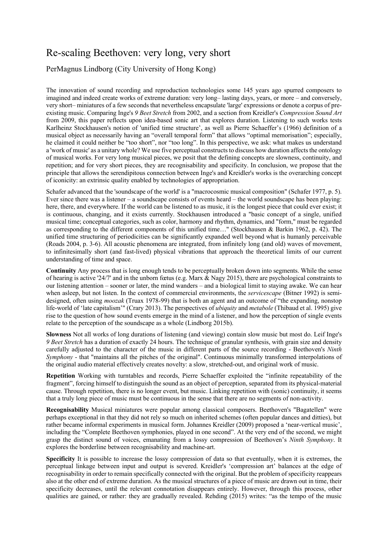## Re-scaling Beethoven: very long, very short

PerMagnus Lindborg (City University of Hong Kong)

The innovation of sound recording and reproduction technologies some 145 years ago spurred composers to imagined and indeed create works of extreme duration: very long– lasting days, years, or more – and conversely, very short– miniatures of a few seconds that nevertheless encapsulate 'large' expressions or denote a corpus of preexisting music. Comparing Inge's *9 Beet Stretch* from 2002, and a section from Kreidler's *Compression Sound Art* from 2009, this paper reflects upon idea-based sonic art that explores duration. Listening to such works tests Karlheinz Stockhausen's notion of 'unified time structure', as well as Pierre Schaeffer's (1966) definition of a musical object as necessarily having an "overall temporal form" that allows "optimal memorisation"; especially, he claimed it could neither be "too short", nor "too long". In this perspective, we ask: what makes us understand a 'work of music' as a unitary whole? We use five perceptual constructs to discuss how duration affects the ontology of musical works. For very long musical pieces, we posit that the defining concepts are slowness, continuity, and repetition; and for very short pieces, they are recognisability and specificity. In conclusion, we propose that the principle that allows the serendipitous connection between Inge's and Kreidler's works is the overarching concept of iconicity: an extrinsic quality enabled by technologies of appropriation.

Schafer advanced that the 'soundscape of the world' is a "macrocosmic musical composition" (Schafer 1977, p. 5). Ever since there was a listener – a soundscape consists of events heard – the world soundscape has been playing: here, there, and everywhere. If the world can be listened to as music, it is the longest piece that could ever exist; it is continuous, changing, and it exists currently. Stockhausen introduced a "basic concept of a single, unified musical time; conceptual categories, such as color, harmony and rhythm, dynamics, and "form," must be regarded as corresponding to the different components of this unified time…" (Stockhausen & Barkin 1962, p. 42). The unified time structuring of periodicities can be significantly expanded well beyond what is humanly perceivable (Roads 2004, p. 3-6). All acoustic phenomena are integrated, from infinitely long (and old) waves of movement, to infinitesimally short (and fast-lived) physical vibrations that approach the theoretical limits of our current understanding of time and space.

**Continuity** Any process that is long enough tends to be perceptually broken down into segments. While the sense of hearing is active '24/7' and in the unborn fœtus (e.g. Marx & Nagy 2015), there are psychological constraints to our listening attention – sooner or later, the mind wanders – and a biological limit to staying awake. We can hear when asleep, but not listen. In the context of commercial environments, the *servicescape* (Bitner 1992) is semidesigned, often using *moozak* (Truax 1978-99) that is both an agent and an outcome of "the expanding, nonstop life-world of 'late capitalism'" (Crary 2013). The perspectives of *ubiquity* and *metabole* (Thibaud et al. 1995) give rise to the question of how sound events emerge in the mind of a listener, and how the perception of single events relate to the perception of the soundscape as a whole (Lindborg 2015b).

**Slowness** Not all works of long durations of listening (and viewing) contain slow music but most do. Leif Inge's *9 Beet Stretch* has a duration of exactly 24 hours. The technique of granular synthesis, with grain size and density carefully adjusted to the character of the music in different parts of the source recording - Beethoven's *Ninth Symphony* - that "maintains all the pitches of the original". Continuous minimally transformed interpolations of the original audio material effectively creates novelty: a slow, stretched-out, and original work of music.

**Repetition** Working with turntables and records, Pierre Schaeffer exploited the "infinite repeatability of the fragment", forcing himself to distinguish the sound as an object of perception, separated from its physical-material cause. Through repetition, there is no longer event, but music. Linking repetition with (sonic) continuity, it seems that a truly long piece of music must be continuous in the sense that there are no segments of non-activity.

**Recognisability** Musical miniatures were popular among classical composers. Beethoven's "Bagatellen" were perhaps exceptional in that they did not rely so much on inherited schemes (often popular dances and ditties), but rather became informal experiments in musical form. Johannes Kreidler (2009) proposed a 'near-vertical music', including the "Complete Beethoven symphonies, played in one second". At the very end of the second, we might grasp the distinct sound of voices, emanating from a lossy compression of Beethoven's *Ninth Symphony*. It explores the borderline between recognisability and machine-art.

**Specificity** It is possible to increase the lossy compression of data so that eventually, when it is extremes, the perceptual linkage between input and output is severed. Kreidler's 'compression art' balances at the edge of recognisability in order to remain specifically connected with the original. But the problem of specificity reappears also at the other end of extreme duration. As the musical structures of a piece of music are drawn out in time, their specificity decreases, until the relevant connotation disappears entirely. However, through this process, other qualities are gained, or rather: they are gradually revealed. Rehding (2015) writes: "as the tempo of the music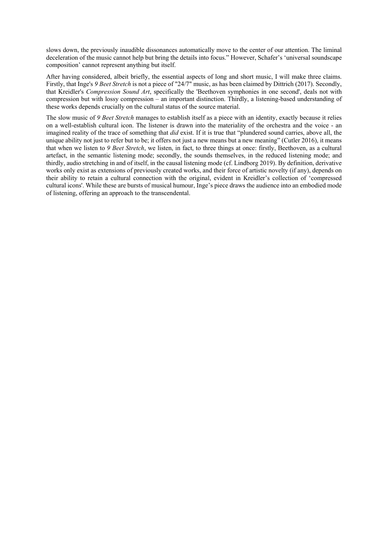slows down, the previously inaudible dissonances automatically move to the center of our attention. The liminal deceleration of the music cannot help but bring the details into focus." However, Schafer's 'universal soundscape composition' cannot represent anything but itself.

After having considered, albeit briefly, the essential aspects of long and short music, I will make three claims. Firstly, that Inge's *9 Beet Stretch* is not a piece of "24/7" music, as has been claimed by Dittrich (2017). Secondly, that Kreidler's *Compression Sound Art*, specifically the 'Beethoven symphonies in one second', deals not with compression but with lossy compression – an important distinction. Thirdly, a listening-based understanding of these works depends crucially on the cultural status of the source material.

The slow music of *9 Beet Stretch* manages to establish itself as a piece with an identity, exactly because it relies on a well-establish cultural icon. The listener is drawn into the materiality of the orchestra and the voice - an imagined reality of the trace of something that *did* exist. If it is true that "plundered sound carries, above all, the unique ability not just to refer but to be; it offers not just a new means but a new meaning" (Cutler 2016), it means that when we listen to *9 Beet Stretch*, we listen, in fact, to three things at once: firstly, Beethoven, as a cultural artefact, in the semantic listening mode; secondly, the sounds themselves, in the reduced listening mode; and thirdly, audio stretching in and of itself, in the causal listening mode (cf. Lindborg 2019). By definition, derivative works only exist as extensions of previously created works, and their force of artistic novelty (if any), depends on their ability to retain a cultural connection with the original, evident in Kreidler's collection of 'compressed cultural icons'. While these are bursts of musical humour, Inge's piece draws the audience into an embodied mode of listening, offering an approach to the transcendental.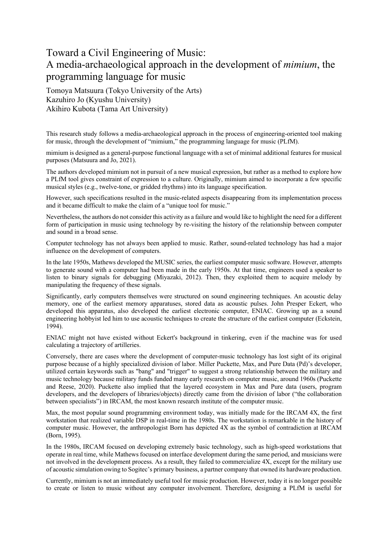## Toward a Civil Engineering of Music: A media-archaeological approach in the development of *mimium*, the programming language for music

Tomoya Matsuura (Tokyo University of the Arts) Kazuhiro Jo (Kyushu University) Akihiro Kubota (Tama Art University)

This research study follows a media-archaeological approach in the process of engineering-oriented tool making for music, through the development of "mimium," the programming language for music (PLfM).

mimium is designed as a general-purpose functional language with a set of minimal additional features for musical purposes (Matsuura and Jo, 2021).

The authors developed mimium not in pursuit of a new musical expression, but rather as a method to explore how a PLfM tool gives constraint of expression to a culture. Originally, mimium aimed to incorporate a few specific musical styles (e.g., twelve-tone, or gridded rhythms) into its language specification.

However, such specifications resulted in the music-related aspects disappearing from its implementation process and it became difficult to make the claim of a "unique tool for music."

Nevertheless, the authors do not consider this activity as a failure and would like to highlight the need for a different form of participation in music using technology by re-visiting the history of the relationship between computer and sound in a broad sense.

Computer technology has not always been applied to music. Rather, sound-related technology has had a major influence on the development of computers.

In the late 1950s, Mathews developed the MUSIC series, the earliest computer music software. However, attempts to generate sound with a computer had been made in the early 1950s. At that time, engineers used a speaker to listen to binary signals for debugging (Miyazaki, 2012). Then, they exploited them to acquire melody by manipulating the frequency of these signals.

Significantly, early computers themselves were structured on sound engineering techniques. An acoustic delay memory, one of the earliest memory apparatuses, stored data as acoustic pulses. John Presper Eckert, who developed this apparatus, also developed the earliest electronic computer, ENIAC. Growing up as a sound engineering hobbyist led him to use acoustic techniques to create the structure of the earliest computer (Eckstein, 1994).

ENIAC might not have existed without Eckert's background in tinkering, even if the machine was for used calculating a trajectory of artilleries.

Conversely, there are cases where the development of computer-music technology has lost sight of its original purpose because of a highly specialized division of labor. Miller Puckette, Max, and Pure Data (Pd)'s developer, utilized certain keywords such as "bang" and "trigger" to suggest a strong relationship between the military and music technology because military funds funded many early research on computer music, around 1960s (Puckette and Reese, 2020). Puckette also implied that the layered ecosystem in Max and Pure data (users, program developers, and the developers of libraries/objects) directly came from the division of labor ("the collaboration between specialists") in IRCAM, the most known research institute of the computer music.

Max, the most popular sound programming environment today, was initially made for the IRCAM 4X, the first workstation that realized variable DSP in real-time in the 1980s. The workstation is remarkable in the history of computer music. However, the anthropologist Born has depicted 4X as the symbol of contradiction at IRCAM (Born, 1995).

In the 1980s, IRCAM focused on developing extremely basic technology, such as high-speed workstations that operate in real time, while Mathews focused on interface development during the same period, and musicians were not involved in the development process. As a result, they failed to commercialize 4X, except for the military use of acoustic simulation owing to Sogitec's primary business, a partner company that owned its hardware production.

Currently, mimium is not an immediately useful tool for music production. However, today it is no longer possible to create or listen to music without any computer involvement. Therefore, designing a PLfM is useful for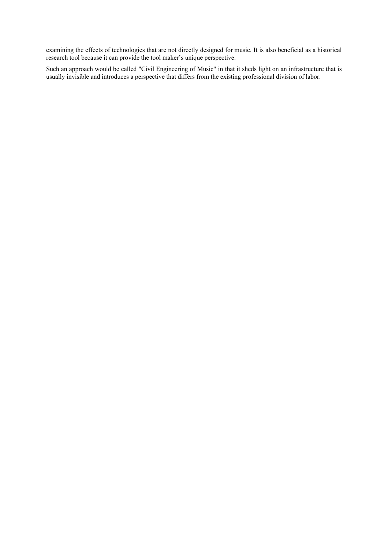examining the effects of technologies that are not directly designed for music. It is also beneficial as a historical research tool because it can provide the tool maker's unique perspective.

Such an approach would be called "Civil Engineering of Music" in that it sheds light on an infrastructure that is usually invisible and introduces a perspective that differs from the existing professional division of labor.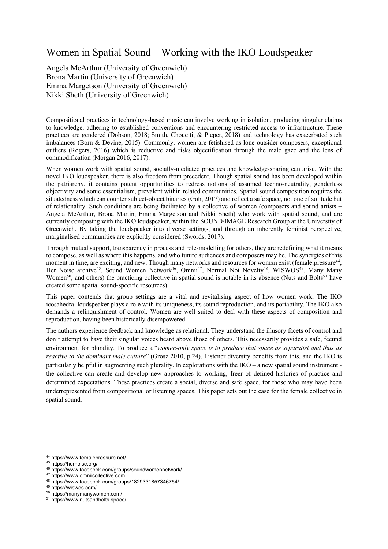## Women in Spatial Sound – Working with the IKO Loudspeaker

Angela McArthur (University of Greenwich) Brona Martin (University of Greenwich) Emma Margetson (University of Greenwich) Nikki Sheth (University of Greenwich)

Compositional practices in technology-based music can involve working in isolation, producing singular claims to knowledge, adhering to established conventions and encountering restricted access to infrastructure. These practices are gendered (Dobson, 2018; Smith, Choueiti, & Pieper, 2018) and technology has exacerbated such imbalances (Born & Devine, 2015). Commonly, women are fetishised as lone outsider composers, exceptional outliers (Rogers, 2016) which is reductive and risks objectification through the male gaze and the lens of commodification (Morgan 2016, 2017).

When women work with spatial sound, socially-mediated practices and knowledge-sharing can arise. With the novel IKO loudspeaker, there is also freedom from precedent. Though spatial sound has been developed within the patriarchy, it contains potent opportunities to redress notions of assumed techno-neutrality, genderless objectivity and sonic essentialism, prevalent within related communities. Spatial sound composition requires the situatedness which can counter subject-object binaries (Goh, 2017) and reflect a safe space, not one of solitude but of relationality. Such conditions are being facilitated by a collective of women (composers and sound artists – Angela McArthur, Brona Martin, Emma Margetson and Nikki Sheth) who work with spatial sound, and are currently composing with the IKO loudspeaker, within the SOUND/IMAGE Research Group at the University of Greenwich. By taking the loudspeaker into diverse settings, and through an inherently feminist perspective, marginalised communities are explicitly considered (Swords, 2017).

Through mutual support, transparency in process and role-modelling for others, they are redefining what it means to compose, as well as where this happens, and who future audiences and composers may be. The synergies of this moment in time, are exciting, and new. Though many networks and resources for womxn exist (female:pressure<sup>44</sup>, Her Noise archive<sup>45</sup>, Sound Women Network<sup>46</sup>, Omnii<sup>47</sup>, Normal Not Novelty<sup>48</sup>, WISWOS<sup>49</sup>, Many Many Women<sup>50</sup>, and others) the practicing collective in spatial sound is notable in its absence (Nuts and Bolts<sup>51</sup> have created some spatial sound-specific resources).

This paper contends that group settings are a vital and revitalising aspect of how women work. The IKO icosahedral loudspeaker plays a role with its uniqueness, its sound reproduction, and its portability. The IKO also demands a relinquishment of control. Women are well suited to deal with these aspects of composition and reproduction, having been historically disempowered.

The authors experience feedback and knowledge as relational. They understand the illusory facets of control and don't attempt to have their singular voices heard above those of others. This necessarily provides a safe, fecund environment for plurality. To produce a "*women-only space is to produce that space as separatist and thus as reactive to the dominant male culture*" (Grosz 2010, p.24). Listener diversity benefits from this, and the IKO is particularly helpful in augmenting such plurality. In explorations with the IKO – a new spatial sound instrument the collective can create and develop new approaches to working, freer of defined histories of practice and determined expectations. These practices create a social, diverse and safe space, for those who may have been underrepresented from compositional or listening spaces. This paper sets out the case for the female collective in spatial sound.

<sup>44</sup> https://www.femalepressure.net/

<sup>45</sup> https://hernoise.org/

<sup>46</sup> https://www.facebook.com/groups/soundwomennetwork/

<sup>47</sup> https://www.omniicollective.com <sup>48</sup> https://www.facebook.com/groups/1829331857346754/

<sup>49</sup> https://wiswos.com/

<sup>50</sup> https://manymanywomen.com/

<sup>51</sup> https://www.nutsandbolts.space/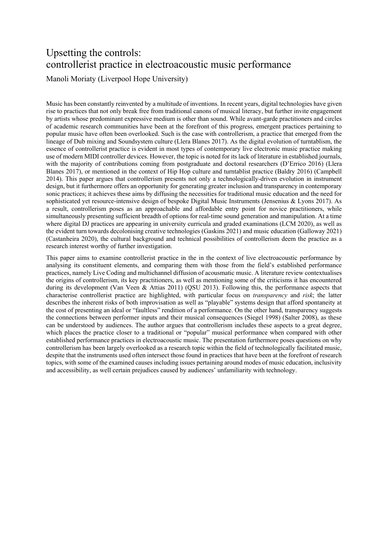# Upsetting the controls: controllerist practice in electroacoustic music performance

Manoli Moriaty (Liverpool Hope University)

Music has been constantly reinvented by a multitude of inventions. In recent years, digital technologies have given rise to practices that not only break free from traditional canons of musical literacy, but further invite engagement by artists whose predominant expressive medium is other than sound. While avant-garde practitioners and circles of academic research communities have been at the forefront of this progress, emergent practices pertaining to popular music have often been overlooked. Such is the case with controllerism, a practice that emerged from the lineage of Dub mixing and Soundsystem culture (Llera Blanes 2017). As the digital evolution of turntablism, the essence of controllerist practice is evident in most types of contemporary live electronic music practice making use of modern MIDI controller devices. However, the topic is noted for its lack of literature in established journals, with the majority of contributions coming from postgraduate and doctoral researchers (D'Errico 2016) (Llera Blanes 2017), or mentioned in the context of Hip Hop culture and turntablist practice (Baldry 2016) (Campbell 2014). This paper argues that controllerism presents not only a technologically-driven evolution in instrument design, but it furthermore offers an opportunity for generating greater inclusion and transparency in contemporary sonic practices; it achieves these aims by diffusing the necessities for traditional music education and the need for sophisticated yet resource-intensive design of bespoke Digital Music Instruments (Jensenius & Lyons 2017). As a result, controllerism poses as an approachable and affordable entry point for novice practitioners, while simultaneously presenting sufficient breadth of options for real-time sound generation and manipulation. At a time where digital DJ practices are appearing in university curricula and graded examinations (LCM 2020), as well as the evident turn towards decolonising creative technologies (Gaskins 2021) and music education (Galloway 2021) (Castanheira 2020), the cultural background and technical possibilities of controllerism deem the practice as a research interest worthy of further investigation.

This paper aims to examine controllerist practice in the in the context of live electroacoustic performance by analysing its constituent elements, and comparing them with those from the field's established performance practices, namely Live Coding and multichannel diffusion of acousmatic music. A literature review contextualises the origins of controllerism, its key practitioners, as well as mentioning some of the criticisms it has encountered during its development (Van Veen & Attias 2011) (OSU 2013). Following this, the performance aspects that characterise controllerist practice are highlighted, with particular focus on *transparency* and *risk*; the latter describes the inherent risks of both improvisation as well as "playable" systems design that afford spontaneity at the cost of presenting an ideal or "faultless" rendition of a performance. On the other hand, transparency suggests the connections between performer inputs and their musical consequences (Siegel 1998) (Salter 2008), as these can be understood by audiences. The author argues that controllerism includes these aspects to a great degree, which places the practice closer to a traditional or "popular" musical performance when compared with other established performance practices in electroacoustic music. The presentation furthermore poses questions on why controllerism has been largely overlooked as a research topic within the field of technologically facilitated music, despite that the instruments used often intersect those found in practices that have been at the forefront of research topics, with some of the examined causes including issues pertaining around modes of music education, inclusivity and accessibility, as well certain prejudices caused by audiences' unfamiliarity with technology.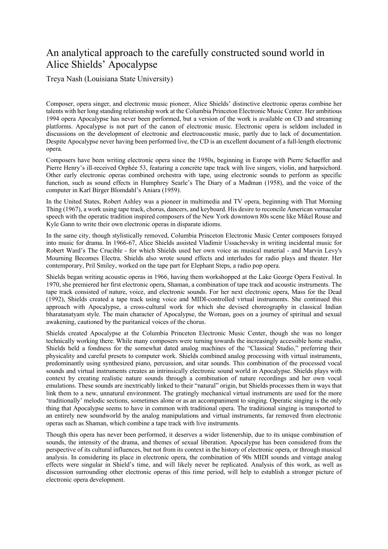## An analytical approach to the carefully constructed sound world in Alice Shields' Apocalypse

Treya Nash (Louisiana State University)

Composer, opera singer, and electronic music pioneer, Alice Shields' distinctive electronic operas combine her talents with her long standing relationship work at the Columbia Princeton Electronic Music Center. Her ambitious 1994 opera Apocalypse has never been performed, but a version of the work is available on CD and streaming platforms. Apocalypse is not part of the canon of electronic music. Electronic opera is seldom included in discussions on the development of electronic and electroacoustic music, partly due to lack of documentation. Despite Apocalypse never having been performed live, the CD is an excellent document of a full-length electronic opera.

Composers have been writing electronic opera since the 1950s, beginning in Europe with Pierre Schaeffer and Pierre Henry's ill-received Orphée 53, featuring a concrète tape track with live singers, violin, and harpsichord. Other early electronic operas combined orchestra with tape, using electronic sounds to perform as specific function, such as sound effects in Humphrey Searle's The Diary of a Madman (1958), and the voice of the computer in Karl Birger Blomdahl's Aniara (1959).

In the United States, Robert Ashley was a pioneer in multimedia and TV opera, beginning with That Morning Thing (1967), a work using tape track, chorus, dancers, and keyboard. His desire to reconcile American vernacular speech with the operatic tradition inspired composers of the New York downtown 80s scene like Mikel Rouse and Kyle Gann to write their own electronic operas in disparate idioms.

In the same city, though stylistically removed, Columbia Princeton Electronic Music Center composers forayed into music for drama. In 1966-67, Alice Shields assisted Vladimir Ussachevsky in writing incidental music for Robert Ward's The Crucible - for which Shields used her own voice as musical material - and Marvin Levy's Mourning Becomes Electra. Shields also wrote sound effects and interludes for radio plays and theater. Her contemporary, Pril Smiley, worked on the tape part for Elephant Steps, a radio pop opera.

Shields began writing acoustic operas in 1966, having them workshopped at the Lake George Opera Festival. In 1970, she premiered her first electronic opera, Shaman, a combination of tape track and acoustic instruments. The tape track consisted of nature, voice, and electronic sounds. For her next electronic opera, Mass for the Dead (1992), Shields created a tape track using voice and MIDI-controlled virtual instruments. She continued this approach with Apocalypse, a cross-cultural work for which she devised choreography in classical Indian bharatanatyam style. The main character of Apocalypse, the Woman, goes on a journey of spiritual and sexual awakening, cautioned by the puritanical voices of the chorus.

Shields created Apocalypse at the Columbia Princeton Electronic Music Center, though she was no longer technically working there. While many composers were turning towards the increasingly accessible home studio, Shields held a fondness for the somewhat dated analog machines of the "Classical Studio," preferring their physicality and careful presets to computer work. Shields combined analog processing with virtual instruments, predominantly using synthesized piano, percussion, and sitar sounds. This combination of the processed vocal sounds and virtual instruments creates an intrinsically electronic sound world in Apocalypse. Shields plays with context by creating realistic nature sounds through a combination of nature recordings and her own vocal emulations. These sounds are inextricably linked to their "natural" origin, but Shields processes them in ways that link them to a new, unnatural environment. The gratingly mechanical virtual instruments are used for the more 'traditionally' melodic sections, sometimes alone or as an accompaniment to singing. Operatic singing is the only thing that Apocalypse seems to have in common with traditional opera. The traditional singing is transported to an entirely new soundworld by the analog manipulations and virtual instruments, far removed from electronic operas such as Shaman, which combine a tape track with live instruments.

Though this opera has never been performed, it deserves a wider listenership, due to its unique combination of sounds, the intensity of the drama, and themes of sexual liberation. Apocalypse has been considered from the perspective of its cultural influences, but not from its context in the history of electronic opera, or through musical analysis. In considering its place in electronic opera, the combination of 90s MIDI sounds and vintage analog effects were singular in Shield's time, and will likely never be replicated. Analysis of this work, as well as discussion surrounding other electronic operas of this time period, will help to establish a stronger picture of electronic opera development.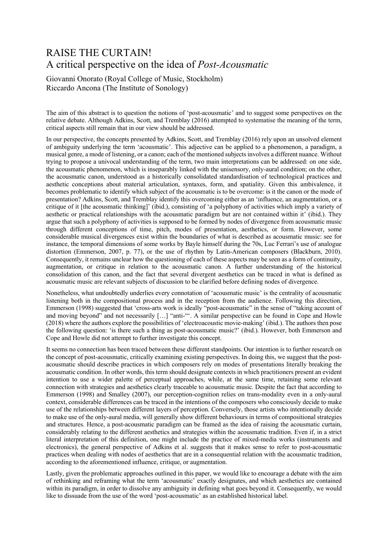# RAISE THE CURTAIN! A critical perspective on the idea of *Post-Acousmatic*

Giovanni Onorato (Royal College of Music, Stockholm) Riccardo Ancona (The Institute of Sonology)

The aim of this abstract is to question the notions of 'post-acousmatic' and to suggest some perspectives on the relative debate. Although Adkins, Scott, and Tremblay (2016) attempted to systematise the meaning of the term, critical aspects still remain that in our view should be addressed.

In our perspective, the concepts presented by Adkins, Scott, and Tremblay (2016) rely upon an unsolved element of ambiguity underlying the term 'acousmatic'. This adjective can be applied to a phenomenon, a paradigm, a musical genre, a mode of listening, or a canon; each of the mentioned subjects involves a different nuance. Without trying to propose a univocal understanding of the term, two main interpretations can be addressed: on one side, the acousmatic phenomenon, which is inseparably linked with the unisensory, only-aural condition; on the other, the acousmatic canon, understood as a historically consolidated standardisation of technological practices and aesthetic conceptions about material articulation, syntaxes, form, and spatiality. Given this ambivalence, it becomes problematic to identify which subject of the acousmatic is to be overcome: is it the canon or the mode of presentation? Adkins, Scott, and Tremblay identify this overcoming either as an 'influence, an augmentation, or a critique of it [the acousmatic thinking]' (ibid.), consisting of 'a polyphony of activities which imply a variety of aesthetic or practical relationships with the acousmatic paradigm but are not contained within it' (ibid.). They argue that such a polyphony of activities is supposed to be formed by nodes of divergence from acousmatic music through different conceptions of time, pitch, modes of presentation, aesthetics, or form. However, some considerable musical divergences exist within the boundaries of what is described as acousmatic music: see for instance, the temporal dimensions of some works by Bayle himself during the 70s, Luc Ferrari's use of analogue distortion (Emmerson, 2007, p. 77), or the use of rhythm by Latin-American composers (Blackburn, 2010). Consequently, it remains unclear how the questioning of each of these aspects may be seen as a form of continuity, augmentation, or critique in relation to the acousmatic canon. A further understanding of the historical consolidation of this canon, and the fact that several divergent aesthetics can be traced in what is defined as acousmatic music are relevant subjects of discussion to be clarified before defining nodes of divergence.

Nonetheless, what undoubtedly underlies every connotation of 'acousmatic music' is the centrality of acousmatic listening both in the compositional process and in the reception from the audience. Following this direction, Emmerson (1998) suggested that 'cross-arts work is ideally "post-acousmatic" in the sense of "taking account of and moving beyond" and not necessarily […] "anti-"'. A similar perspective can be found in Cope and Howle (2018) where the authors explore the possibilities of 'electroacoustic movie-making' (ibid.). The authors then pose the following question: 'is there such a thing as post-acousmatic music?' (ibid.). However, both Emmerson and Cope and Howle did not attempt to further investigate this concept.

It seems no connection has been traced between these different standpoints. Our intention is to further research on the concept of post-acousmatic, critically examining existing perspectives. In doing this, we suggest that the postacousmatic should describe practices in which composers rely on modes of presentations literally breaking the acousmatic condition. In other words, this term should designate contexts in which practitioners present an evident intention to use a wider palette of perceptual approaches, while, at the same time, retaining some relevant connection with strategies and aesthetics clearly traceable to acousmatic music. Despite the fact that according to Emmerson (1998) and Smalley (2007), our perception-cognition relies on trans-modality even in a only-aural context, considerable differences can be traced in the intentions of the composers who consciously decide to make use of the relationships between different layers of perception. Conversely, those artists who intentionally decide to make use of the only-aural media, will generally show different behaviours in terms of compositional strategies and structures. Hence, a post-acousmatic paradigm can be framed as the idea of raising the acousmatic curtain, considerably relating to the different aesthetics and strategies within the acousmatic tradition. Even if, in a strict literal interpretation of this definition, one might include the practice of mixed-media works (instruments and electronics), the general perspective of Adkins et al. suggests that it makes sense to refer to post-acousmatic practices when dealing with nodes of aesthetics that are in a consequential relation with the acousmatic tradition, according to the aforementioned influence, critique, or augmentation.

Lastly, given the problematic approaches outlined in this paper, we would like to encourage a debate with the aim of rethinking and reframing what the term 'acousmatic' exactly designates, and which aesthetics are contained within its paradigm, in order to dissolve any ambiguity in defining what goes beyond it. Consequently, we would like to dissuade from the use of the word 'post-acousmatic' as an established historical label.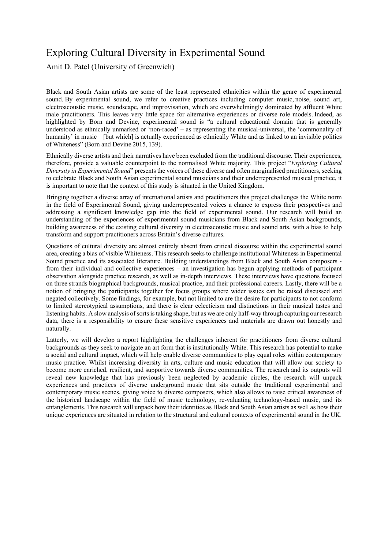## Exploring Cultural Diversity in Experimental Sound

Amit D. Patel (University of Greenwich)

Black and South Asian artists are some of the least represented ethnicities within the genre of experimental sound. By experimental sound, we refer to creative practices including computer music, noise, sound art, electroacoustic music, soundscape, and improvisation, which are overwhelmingly dominated by affluent White male practitioners. This leaves very little space for alternative experiences or diverse role models. Indeed, as highlighted by Born and Devine, experimental sound is "a cultural–educational domain that is generally understood as ethnically unmarked or 'non-raced' – as representing the musical-universal, the 'commonality of humanity' in music – [but which] is actually experienced as ethnically White and as linked to an invisible politics of Whiteness" (Born and Devine 2015, 139).

Ethnically diverse artists and their narratives have been excluded from the traditional discourse. Their experiences, therefore, provide a valuable counterpoint to the normalised White majority. This project "*Exploring Cultural Diversity in <i>Experimental Sound*" presents the voices of these diverse and often marginalised practitioners, seeking to celebrate Black and South Asian experimental sound musicians and their underrepresented musical practice, it is important to note that the context of this study is situated in the United Kingdom.

Bringing together a diverse array of international artists and practitioners this project challenges the White norm in the field of Experimental Sound, giving underrepresented voices a chance to express their perspectives and addressing a significant knowledge gap into the field of experimental sound. Our research will build an understanding of the experiences of experimental sound musicians from Black and South Asian backgrounds, building awareness of the existing cultural diversity in electroacoustic music and sound arts, with a bias to help transform and support practitioners across Britain's diverse cultures.

Questions of cultural diversity are almost entirely absent from critical discourse within the experimental sound area, creating a bias of visible Whiteness. This research seeks to challenge institutional Whiteness in Experimental Sound practice and its associated literature. Building understandings from Black and South Asian composers from their individual and collective experiences – an investigation has begun applying methods of participant observation alongside practice research, as well as in-depth interviews. These interviews have questions focused on three strands biographical backgrounds, musical practice, and their professional careers. Lastly, there will be a notion of bringing the participants together for focus groups where wider issues can be raised discussed and negated collectively. Some findings, for example, but not limited to are the desire for participants to not conform to limited stereotypical assumptions, and there is clear eclecticism and distinctions in their musical tastes and listening habits. A slow analysis of sorts is taking shape, but as we are only half-way through capturing our research data, there is a responsibility to ensure these sensitive experiences and materials are drawn out honestly and naturally.

Latterly, we will develop a report highlighting the challenges inherent for practitioners from diverse cultural backgrounds as they seek to navigate an art form that is institutionally White. This research has potential to make a social and cultural impact, which will help enable diverse communities to play equal roles within contemporary music practice. Whilst increasing diversity in arts, culture and music education that will allow our society to become more enriched, resilient, and supportive towards diverse communities. The research and its outputs will reveal new knowledge that has previously been neglected by academic circles, the research will unpack experiences and practices of diverse underground music that sits outside the traditional experimental and contemporary music scenes, giving voice to diverse composers, which also allows to raise critical awareness of the historical landscape within the field of music technology, re-valuating technology-based music, and its entanglements. This research will unpack how their identities as Black and South Asian artists as well as how their unique experiences are situated in relation to the structural and cultural contexts of experimental sound in the UK.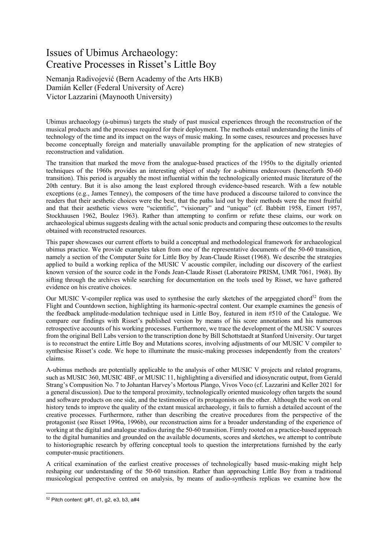## Issues of Ubimus Archaeology: Creative Processes in Risset's Little Boy

Nemanja Radivojević (Bern Academy of the Arts HKB) Damián Keller (Federal University of Acre) Victor Lazzarini (Maynooth University)

Ubimus archaeology (a-ubimus) targets the study of past musical experiences through the reconstruction of the musical products and the processes required for their deployment. The methods entail understanding the limits of technology of the time and its impact on the ways of music making. In some cases, resources and processes have become conceptually foreign and materially unavailable prompting for the application of new strategies of reconstruction and validation.

The transition that marked the move from the analogue-based practices of the 1950s to the digitally oriented techniques of the 1960s provides an interesting object of study for a-ubimus endeavours (henceforth 50-60 transition). This period is arguably the most influential within the technologically oriented music literature of the 20th century. But it is also among the least explored through evidence-based research. With a few notable exceptions (e.g., James Tenney), the composers of the time have produced a discourse tailored to convince the readers that their aesthetic choices were the best, that the paths laid out by their methods were the most fruitful and that their aesthetic views were "scientific", "visionary" and "unique" (cf. Babbitt 1958, Eimert 1957, Stockhausen 1962, Boulez 1963). Rather than attempting to confirm or refute these claims, our work on archaeological ubimus suggests dealing with the actual sonic products and comparing these outcomes to the results obtained with reconstructed resources.

This paper showcases our current efforts to build a conceptual and methodological framework for archaeological ubimus practice. We provide examples taken from one of the representative documents of the 50-60 transition, namely a section of the Computer Suite for Little Boy by Jean-Claude Risset (1968). We describe the strategies applied to build a working replica of the MUSIC V acoustic compiler, including our discovery of the earliest known version of the source code in the Fonds Jean-Claude Risset (Laboratoire PRISM, UMR 7061, 1968). By sifting through the archives while searching for documentation on the tools used by Risset, we have gathered evidence on his creative choices.

Our MUSIC V-compiler replica was used to synthesise the early sketches of the arpeggiated chord<sup>52</sup> from the Flight and Countdown section, highlighting its harmonic-spectral content. Our example examines the genesis of the feedback amplitude-modulation technique used in Little Boy, featured in item #510 of the Catalogue. We compare our findings with Risset's published version by means of his score annotations and his numerous retrospective accounts of his working processes. Furthermore, we trace the development of the MUSIC V sources from the original Bell Labs version to the transcription done by Bill Schottstaedt at Stanford University. Our target is to reconstruct the entire Little Boy and Mutations scores, involving adjustments of our MUSIC V compiler to synthesise Risset's code. We hope to illuminate the music-making processes independently from the creators' claims.

A-ubimus methods are potentially applicable to the analysis of other MUSIC V projects and related programs, such as MUSIC 360, MUSIC 4BF, or MUSIC 11, highlighting a diversified and idiosyncratic output, from Gerald Strang's Compusition No. 7 to Johantan Harvey's Mortous Plango, Vivos Voco (cf. Lazzarini and Keller 2021 for a general discussion). Due to the temporal proximity, technologically oriented musicology often targets the sound and software products on one side, and the testimonies of its protagonists on the other. Although the work on oral history tends to improve the quality of the extant musical archaeology, it fails to furnish a detailed account of the creative processes. Furthermore, rather than describing the creative procedures from the perspective of the protagonist (see Risset 1996a, 1996b), our reconstruction aims for a broader understanding of the experience of working at the digital and analogue studios during the 50-60 transition. Firmly rooted on a practice-based approach to the digital humanities and grounded on the available documents, scores and sketches, we attempt to contribute to historiographic research by offering conceptual tools to question the interpretations furnished by the early computer-music practitioners.

A critical examination of the earliest creative processes of technologically based music-making might help reshaping our understanding of the 50-60 transition. Rather than approaching Little Boy from a traditional musicological perspective centred on analysis, by means of audio-synthesis replicas we examine how the

<sup>52</sup> Pitch content: g#1, d1, g2, e3, b3, a#4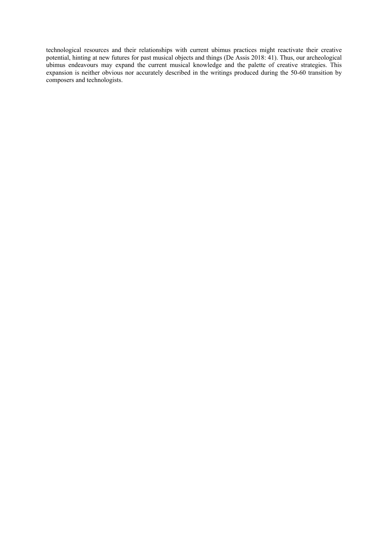technological resources and their relationships with current ubimus practices might reactivate their creative potential, hinting at new futures for past musical objects and things (De Assis 2018: 41). Thus, our archeological ubimus endeavours may expand the current musical knowledge and the palette of creative strategies. This expansion is neither obvious nor accurately described in the writings produced during the 50-60 transition by composers and technologists.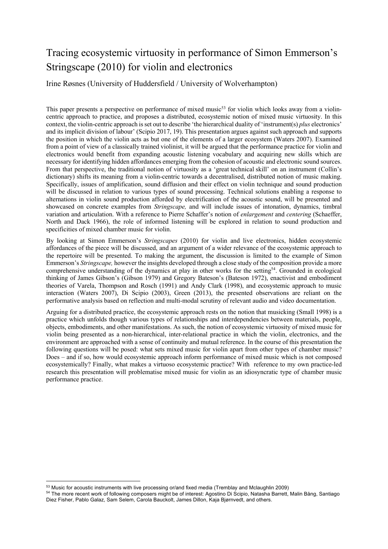# Tracing ecosystemic virtuosity in performance of Simon Emmerson's Stringscape (2010) for violin and electronics

Irine Røsnes (University of Huddersfield / University of Wolverhampton)

This paper presents a perspective on performance of mixed music<sup>53</sup> for violin which looks away from a violincentric approach to practice, and proposes a distributed, ecosystemic notion of mixed music virtuosity. In this context, the violin-centric approach is set out to describe 'the hierarchical duality of 'instrument(s) *plus* electronics' and its implicit division of labour' (Scipio 2017, 19). This presentation argues against such approach and supports the position in which the violin acts as but one of the elements of a larger ecosystem (Waters 2007). Examined from a point of view of a classically trained violinist, it will be argued that the performance practice for violin and electronics would benefit from expanding acoustic listening vocabulary and acquiring new skills which are necessary for identifying hidden affordances emerging from the cohesion of acoustic and electronic sound sources. From that perspective, the traditional notion of virtuosity as a 'great technical skill' on an instrument (Collin's dictionary) shifts its meaning from a violin-centric towards a decentralised, distributed notion of music making. Specifically, issues of amplification, sound diffusion and their effect on violin technique and sound production will be discussed in relation to various types of sound processing. Technical solutions enabling a response to alternations in violin sound production afforded by electrification of the acoustic sound, will be presented and showcased on concrete examples from *Stringscape,* and will include issues of intonation, dynamics, timbral variation and articulation. With a reference to Pierre Schaffer's notion of *enlargement* and *centering* (Schaeffer, North and Dack 1966), the role of informed listening will be explored in relation to sound production and specificities of mixed chamber music for violin.

By looking at Simon Emmerson's *Stringscapes* (2010) for violin and live electronics, hidden ecosystemic affordances of the piece will be discussed, and an argument of a wider relevance of the ecosystemic approach to the repertoire will be presented. To making the argument, the discussion is limited to the example of Simon Emmerson's *Stringscape,* however the insights developed through a close study of the composition provide a more comprehensive understanding of the dynamics at play in other works for the setting<sup>54</sup>. Grounded in ecological thinking of James Gibson's (Gibson 1979) and Gregory Bateson's (Bateson 1972), enactivist and embodiment theories of Varela, Thompson and Rosch (1991) and Andy Clark (1998), and ecosystemic approach to music interaction (Waters 2007), Di Scipio (2003), Green (2013), the presented observations are reliant on the performative analysis based on reflection and multi-modal scrutiny of relevant audio and video documentation.

Arguing for a distributed practice, the ecosystemic approach rests on the notion that musicking (Small 1998) is a practice which unfolds though various types of relationships and interdependencies between materials, people, objects, embodiments, and other manifestations. As such, the notion of ecosystemic virtuosity of mixed music for violin being presented as a non-hierarchical, inter-relational practice in which the violin, electronics, and the environment are approached with a sense of continuity and mutual reference. In the course of this presentation the following questions will be posed: what sets mixed music for violin apart from other types of chamber music? Does – and if so, how would ecosystemic approach inform performance of mixed music which is not composed ecosystemically? Finally, what makes a virtuoso ecosystemic practice? With reference to my own practice-led research this presentation will problematise mixed music for violin as an idiosyncratic type of chamber music performance practice.

<sup>53</sup> Music for acoustic instruments with live processing or/and fixed media (Tremblay and Mclaughlin 2009)

<sup>54</sup> The more recent work of following composers might be of interest: Agostino Di Scipio, Natasha Barrett, Malin Bång, Santiago Diez Fisher, Pablo Galaz, Sam Selem, Carola Bauckolt, James Dillon, Kaja Bjørnvedt, and others.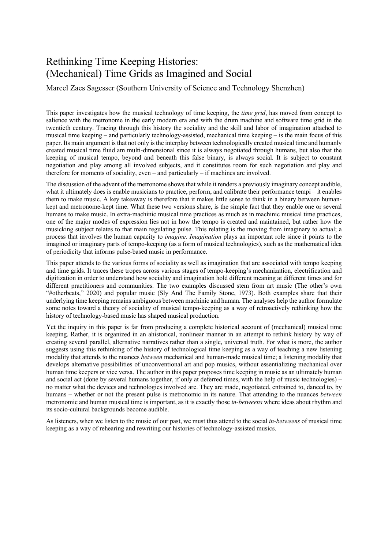## Rethinking Time Keeping Histories: (Mechanical) Time Grids as Imagined and Social

Marcel Zaes Sagesser (Southern University of Science and Technology Shenzhen)

This paper investigates how the musical technology of time keeping, the *time grid*, has moved from concept to salience with the metronome in the early modern era and with the drum machine and software time grid in the twentieth century. Tracing through this history the sociality and the skill and labor of imagination attached to musical time keeping – and particularly technology-assisted, mechanical time keeping – is the main focus of this paper. Its main argument is that not only is the interplay between technologically created musical time and humanly created musical time fluid am multi-dimensional since it is always negotiated through humans, but also that the keeping of musical tempo, beyond and beneath this false binary, is always social. It is subject to constant negotiation and play among all involved subjects, and it constitutes room for such negotiation and play and therefore for moments of sociality, even – and particularly – if machines are involved.

The discussion of the advent of the metronome shows that while it renders a previously imaginary concept audible, what it ultimately does is enable musicians to practice, perform, and calibrate their performance tempi – it enables them to make music. A key takeaway is therefore that it makes little sense to think in a binary between humankept and metronome-kept time. What these two versions share, is the simple fact that they enable one or several humans to make music. In extra-machinic musical time practices as much as in machinic musical time practices, one of the major modes of expression lies not in how the tempo is created and maintained, but rather how the musicking subject relates to that main regulating pulse. This relating is the moving from imaginary to actual; a process that involves the human capacity to *imagine. Imagination* plays an important role since it points to the imagined or imaginary parts of tempo-keeping (as a form of musical technologies), such as the mathematical idea of periodicity that informs pulse-based music in performance.

This paper attends to the various forms of sociality as well as imagination that are associated with tempo keeping and time grids. It traces these tropes across various stages of tempo-keeping's mechanization, electrification and digitization in order to understand how sociality and imagination hold different meaning at different times and for different practitioners and communities. The two examples discussed stem from art music (The other's own "#otherbeats," 2020) and popular music (Sly And The Family Stone, 1973). Both examples share that their underlying time keeping remains ambiguous between machinic and human. The analyses help the author formulate some notes toward a theory of sociality of musical tempo-keeping as a way of retroactively rethinking how the history of technology-based music has shaped musical production.

Yet the inquiry in this paper is far from producing a complete historical account of (mechanical) musical time keeping. Rather, it is organized in an ahistorical, nonlinear manner in an attempt to rethink history by way of creating several parallel, alternative narratives rather than a single, universal truth. For what is more, the author suggests using this rethinking of the history of technological time keeping as a way of teaching a new listening modality that attends to the nuances *between* mechanical and human-made musical time; a listening modality that develops alternative possibilities of unconventional art and pop musics, without essentializing mechanical over human time keepers or vice versa. The author in this paper proposes time keeping in music as an ultimately human and social act (done by several humans together, if only at deferred times, with the help of music technologies) – no matter what the devices and technologies involved are. They are made, negotiated, entrained to, danced to, by humans – whether or not the present pulse is metronomic in its nature. That attending to the nuances *between* metronomic and human musical time is important, as it is exactly those *in-betweens* where ideas about rhythm and its socio-cultural backgrounds become audible.

As listeners, when we listen to the music of our past, we must thus attend to the social *in-betweens* of musical time keeping as a way of rehearing and rewriting our histories of technology-assisted musics.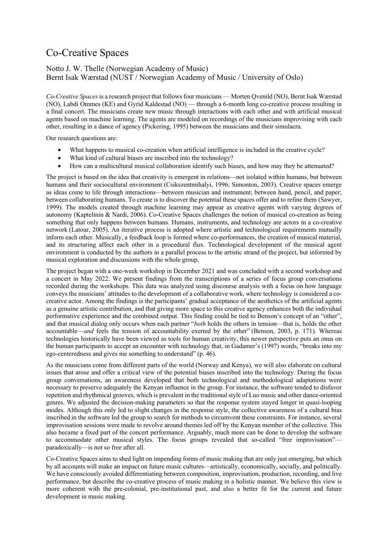## Co-Creative Spaces

### Notto J. W. Thelle (Norwegian Academy of Music) Bernt Isak Wærstad (NUST / Norwegian Academy of Music / University of Oslo)

*Co-Creative Spaces* is a research project that follows four musicians — Morten Qvenild (NO), Bernt Isak Wærstad (NO), Labdi Ommes (KE) and Gyrid Kaldestad (NO) — through a 6-month long co-creative process resulting in a final concert. The musicians create new music through interactions with each other and with artificial musical agents based on machine learning. The agents are modeled on recordings of the musicians improvising with each other, resulting in a dance of agency (Pickering, 1995) between the musicians and their simulacra.

Our research questions are:

- What happens to musical co-creation when artificial intelligence is included in the creative cycle?
- What kind of cultural biases are inscribed into the technology?
- How can a multicultural musical collaboration identify such biases, and how may they be attenuated?

The project is based on the idea that creativity is emergent in relations—not isolated within humans, but between humans and their sociocultural environment (Csikszentmihalyi, 1996; Simonton, 2003). Creative spaces emerge as ideas come to life through interactions—between musician and instrument; between hand, pencil, and paper; between collaborating humans. To create is to discover the potential these spaces offer and to refine them (Sawyer, 1999). The models created through machine learning may appear as creative agents with varying degrees of autonomy (Kaptelinin & Nardi, 2006). Co-Creative Spaces challenges the notion of musical co-creation as being something that only happens between humans. Humans, instruments, and technology are actors in a co-creative network (Latour, 2005). An iterative process is adopted where artistic and technological requirements mutually inform each other. Musically, a feedback loop is formed where co-performances, the creation of musical material, and its structuring affect each other in a procedural flux. Technological development of the musical agent environment is conducted by the authors in a parallel process to the artistic strand of the project, but informed by musical exploration and discussions with the whole group.

The project began with a one-week workshop in December 2021 and was concluded with a second workshop and a concert in May 2022. We present findings from the transcriptions of a series of focus group conversations recorded during the workshops. This data was analyzed using discourse analysis with a focus on how language conveys the musicians' attitudes to the development of a collaborative work, where technology is considered a cocreative actor. Among the findings is the participants' gradual acceptance of the aesthetics of the artificial agents as a genuine artistic contribution, and that giving more space to this creative agency enhances both the individual performative experience and the combined output. This finding could be tied to Benson's concept of an "other", and that musical dialog only occurs when each partner "*both* holds the others in tension—that is, holds the other accountable—*and* feels the tension of accountability exerted by the other" (Benson, 2003, p. 171). Whereas technologies historically have been viewed as tools for human creativity, this newer perspective puts an onus on the human participants to accept an encounter with technology that, in Gadamer's (1997) words, "breaks into my ego-centeredness and gives me something to understand" (p. 46).

As the musicians come from different parts of the world (Norway and Kenya), we will also elaborate on cultural issues that arose and offer a critical view of the potential biases inscribed into the technology. During the focus group conversations, an awareness developed that both technological and methodological adaptations were necessary to preserve adequately the Kenyan influence in the group. For instance, the software tended to disfavor repetition and rhythmical grooves, which is prevalent in the traditional style of Luo music and other dance-oriented genres. We adjusted the decision-making parameters so that the response system stayed longer in quasi-looping modes. Although this only led to slight changes in the response style, the collective awareness of a cultural bias inscribed in the software led the group to search for methods to circumvent these constraints. For instance, several improvisation sessions were made to revolve around themes led off by the Kenyan member of the collective. This also became a fixed part of the concert performance. Arguably, much more can be done to develop the software to accommodate other musical styles. The focus groups revealed that so-called "free improvisation" paradoxically—is not so free after all.

Co-Creative Spaces aims to shed light on impending forms of music making that are only just emerging, but which by all accounts will make an impact on future music cultures—artistically, economically, socially, and politically. We have consciously avoided differentiating between composition, improvisation, production, recording, and live performance, but describe the co-creative process of music making in a holistic manner. We believe this view is more coherent with the pre-colonial, pre-institutional past, and also a better fit for the current and future development in music making.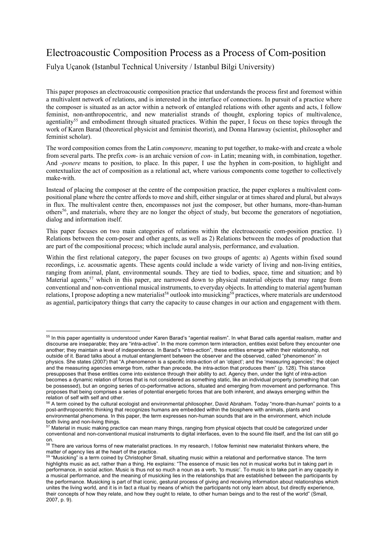## Electroacoustic Composition Process as a Process of Com-position

Fulya Uçanok (Istanbul Technical University / Istanbul Bilgi University)

This paper proposes an electroacoustic composition practice that understands the process first and foremost within a multivalent network of relations, and is interested in the interface of connections. In pursuit of a practice where the composer is situated as an actor within a network of entangled relations with other agents and acts, I follow feminist, non-anthropocentric, and new materialist strands of thought, exploring topics of multivalence, agentiality<sup>55</sup> and embodiment through situated practices. Within the paper, I focus on these topics through the work of Karen Barad (theoretical physicist and feminist theorist), and Donna Haraway (scientist, philosopher and feminist scholar).

The word composition comes from the Latin *componere,* meaning to put together, to make-with and create a whole from several parts. The prefix *com-* is an archaic version of *con-* in Latin; meaning with, in combination, together. And *-ponere* means to position, to place. In this paper, I use the hyphen in com-position, to highlight and contextualize the act of composition as a relational act, where various components come together to collectively make-with.

Instead of placing the composer at the centre of the composition practice, the paper explores a multivalent compositional plane where the centre affords to move and shift, either singular or at times shared and plural, but always in flux. The multivalent centre then, encompasses not just the composer, but other humans, more-than-human others56, and materials, where they are no longer the object of study, but become the generators of negotiation, dialog and information itself.

This paper focuses on two main categories of relations within the electroacoustic com-position practice. 1) Relations between the com-poser and other agents, as well as 2) Relations between the modes of production that are part of the compositional process; which include aural analysis, performance, and evaluation.

Within the first relational category, the paper focuses on two groups of agents: a) Agents within fixed sound recordings, i.e. acousmatic agents. These agents could include a wide variety of living and non-living entities, ranging from animal, plant, environmental sounds. They are tied to bodies, space, time and situation; and b) Material agents,<sup>57</sup> which in this paper, are narrowed down to physical material objects that may range from conventional and non-conventional musical instruments, to everyday objects. In attending to material agent/human relations, I propose adopting a new materialist<sup>58</sup> outlook into musicking<sup>59</sup> practices, where materials are understood as agential, participatory things that carry the capacity to cause changes in our action and engagement with them.

<sup>55</sup> In this paper agentiality is understood under Karen Barad's "agential realism". In what Barad calls agential realism, matter and discourse are inseparable; they are "intra-active". In the more common term interaction, entities exist before they encounter one another; they maintain a level of independence. In Barad's "intra-action", these entities emerge within their relationship, not outside of it. Barad talks about a mutual entanglement between the observer and the observed, called "phenomenon" in physics. She states (2007) that "A phenomenon is a specific intra-action of an 'object'; and the 'measuring agencies'; the object and the measuring agencies emerge from, rather than precede, the intra-action that produces them" (p. 128). This stance presupposes that these entities come into existence through their ability to act. Agency then, under the light of intra-action becomes a dynamic relation of forces that is not considered as something static, like an individual property (something that can be possessed), but an ongoing series of co-performative actions, situated and emerging from movement and performance. This proposes that being comprises a series of potential energetic forces that are both inherent, and always emerging within the relation of self with self and other.

<sup>&</sup>lt;sup>56</sup> A term coined by the cultural ecologist and environmental philosopher, David Abraham. Today "more-than-human" points to a post-anthropocentric thinking that recognizes humans are embedded within the biosphere with animals, plants and environmental phenomena. In this paper, the term expresses non-human sounds that are in the environment, which include both living and non-living things.

 $57$  Material in music making practice can mean many things, ranging from physical objects that could be categorized under conventional and non-conventional musical instruments to digital interfaces, even to the sound file itself, and the list can still go on.

<sup>&</sup>lt;sup>58</sup> There are various forms of new materialist practices. In my research, I follow feminist new materialist thinkers where, the matter of agency lies at the heart of the practice.

<sup>&</sup>lt;sup>59</sup> "Musicking" is a term coined by Christopher Small, situating music within a relational and performative stance. The term highlights music as act, rather than a thing. He explains: "The essence of music lies not in musical works but in taking part in performance, in social action. Music is thus not so much a noun as a verb, 'to music'. To music is to take part in any capacity in a musical performance, and the meaning of musicking lies in the relationships that are established between the participants by the performance. Musicking is part of that iconic, gestural process of giving and receiving information about relationships which unites the living world, and it is in fact a ritual by means of which the participants not only learn about, but directly experience, their concepts of how they relate, and how they ought to relate, to other human beings and to the rest of the world" (Small, 2007, p. 9).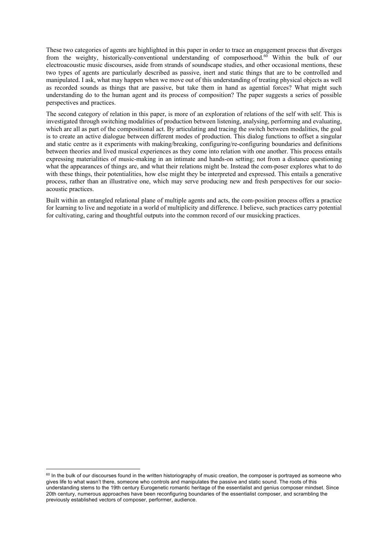These two categories of agents are highlighted in this paper in order to trace an engagement process that diverges from the weighty, historically-conventional understanding of composerhood.<sup>60</sup> Within the bulk of our electroacoustic music discourses, aside from strands of soundscape studies, and other occasional mentions, these two types of agents are particularly described as passive, inert and static things that are to be controlled and manipulated. I ask, what may happen when we move out of this understanding of treating physical objects as well as recorded sounds as things that are passive, but take them in hand as agential forces? What might such understanding do to the human agent and its process of composition? The paper suggests a series of possible perspectives and practices.

The second category of relation in this paper, is more of an exploration of relations of the self with self. This is investigated through switching modalities of production between listening, analysing, performing and evaluating, which are all as part of the compositional act. By articulating and tracing the switch between modalities, the goal is to create an active dialogue between different modes of production. This dialog functions to offset a singular and static centre as it experiments with making/breaking, configuring/re-configuring boundaries and definitions between theories and lived musical experiences as they come into relation with one another. This process entails expressing materialities of music-making in an intimate and hands-on setting; not from a distance questioning what the appearances of things are, and what their relations might be. Instead the com-poser explores what to do with these things, their potentialities, how else might they be interpreted and expressed. This entails a generative process, rather than an illustrative one, which may serve producing new and fresh perspectives for our socioacoustic practices.

Built within an entangled relational plane of multiple agents and acts, the com-position process offers a practice for learning to live and negotiate in a world of multiplicity and difference. I believe, such practices carry potential for cultivating, caring and thoughtful outputs into the common record of our musicking practices.

<sup>&</sup>lt;sup>60</sup> In the bulk of our discourses found in the written historiography of music creation, the composer is portrayed as someone who gives life to what wasn't there, someone who controls and manipulates the passive and static sound. The roots of this understanding stems to the 19th century Eurogenetic romantic heritage of the essentialist and genius composer mindset. Since 20th century, numerous approaches have been reconfiguring boundaries of the essentialist composer, and scrambling the previously established vectors of composer, performer, audience.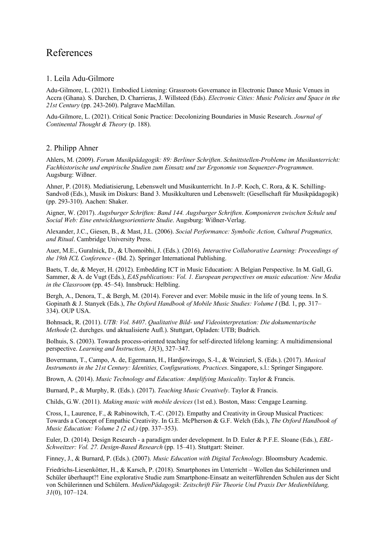### References

### 1. Leila Adu-Gilmore

Adu-Gilmore, L. (2021). Embodied Listening: Grassroots Governance in Electronic Dance Music Venues in Accra (Ghana). S. Darchen, D. Charrieras, J. Willsteed (Eds). *Electronic Cities: Music Policies and Space in the 21st Century* (pp. 243-260). Palgrave MacMillan.

Adu-Gilmore, L. (2021). Critical Sonic Practice: Decolonizing Boundaries in Music Research. *Journal of Continental Thought & Theory* (p. 188).

### 2. Philipp Ahner

Ahlers, M. (2009). *Forum Musikpädagogik: 89: Berliner Schriften*. *Schnittstellen-Probleme im Musikunterricht: Fachhistorische und empirische Studien zum Einsatz und zur Ergonomie von Sequenzer-Programmen*. Augsburg: Wißner.

Ahner, P. (2018). Mediatisierung, Lebenswelt und Musikunterricht. In J.-P. Koch, C. Rora, & K. Schilling-Sandvoß (Eds.), Musik im Diskurs: Band 3. Musikkulturen und Lebenswelt: (Gesellschaft für Musikpädagogik) (pp. 293-310). Aachen: Shaker.

Aigner, W. (2017). *Augsburger Schriften: Band 144. Augsburger Schriften*. *Komponieren zwischen Schule und Social Web: Eine entwicklungsorientierte Studie*. Augsburg: Wißner-Verlag.

Alexander, J.C., Giesen, B., & Mast, J.L. (2006). *Social Performance: Symbolic Action, Cultural Pragmatics, and Ritual*. Cambridge University Press.

Auer, M.E., Guralnick, D., & Uhomoibhi, J. (Eds.). (2016). *Interactive Collaborative Learning: Proceedings of the 19th ICL Conference -* (Bd. 2). Springer International Publishing.

Baets, T. de, & Meyer, H. (2012). Embedding ICT in Music Education: A Belgian Perspective. In M. Gall, G. Sammer, & A. de Vugt (Eds.), *EAS publications: Vol. 1. European perspectives on music education: New Media in the Classroom* (pp. 45–54). Innsbruck: Helbling.

Bergh, A., Denora, T., & Bergh, M. (2014). Forever and ever: Mobile music in the life of young teens. In S. Gopinath & J. Stanyek (Eds.), *The Oxford Handbook of Mobile Music Studies: Volume I* (Bd. 1, pp. 317– 334). OUP USA.

Bohnsack, R. (2011). *UTB: Vol. 8407*. *Qualitative Bild- und Videointerpretation: Die dokumentarische Methode* (2. durchges. und aktualisierte Aufl.). Stuttgart, Opladen: UTB; Budrich.

Bolhuis, S. (2003). Towards process-oriented teaching for self-directed lifelong learning: A multidimensional perspective. *Learning and Instruction, 13*(3), 327–347.

Bovermann, T., Campo, A. de, Egermann, H., Hardjowirogo, S.-I., & Weinzierl, S. (Eds.). (2017). *Musical Instruments in the 21st Century: Identities, Configurations, Practices*. Singapore, s.l.: Springer Singapore.

Brown, A. (2014). *Music Technology and Education: Amplifying Musicality*. Taylor & Francis.

Burnard, P., & Murphy, R. (Eds.). (2017). *Teaching Music Creatively*. Taylor & Francis.

Childs, G.W. (2011). *Making music with mobile devices* (1st ed.). Boston, Mass: Cengage Learning.

Cross, I., Laurence, F., & Rabinowitch, T.-C. (2012). Empathy and Creativity in Group Musical Practices: Towards a Concept of Empathic Creativity. In G.E. McPherson & G.F. Welch (Eds.), *The Oxford Handbook of Music Education: Volume 2 (2 ed.)* (pp. 337–353).

Euler, D. (2014). Design Research - a paradigm under development. In D. Euler & P.F.E. Sloane (Eds.), *EBL-Schweitzer: Vol. 27. Design-Based Research* (pp. 15–41). Stuttgart: Steiner.

Finney, J., & Burnard, P. (Eds.). (2007). *Music Education with Digital Technology*. Bloomsbury Academic.

Friedrichs-Liesenkötter, H., & Karsch, P. (2018). Smartphones im Unterricht – Wollen das Schülerinnen und Schüler überhaupt?! Eine explorative Studie zum Smartphone-Einsatz an weiterführenden Schulen aus der Sicht von Schülerinnen und Schülern. *MedienPädagogik: Zeitschrift Für Theorie Und Praxis Der Medienbildung, 31*(0), 107–124.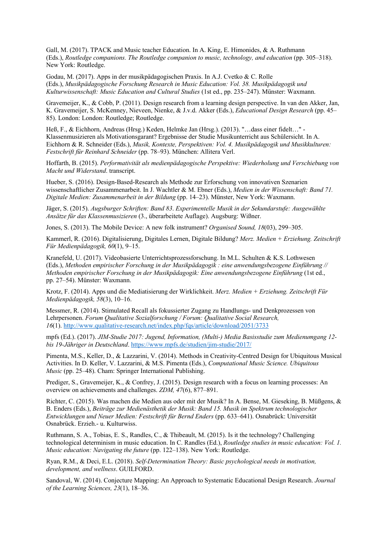Gall, M. (2017). TPACK and Music teacher Education. In A. King, E. Himonides, & A. Ruthmann (Eds.), *Routledge companions. The Routledge companion to music, technology, and education* (pp. 305–318). New York: Routledge.

Godau, M. (2017). Apps in der musikpädagogischen Praxis. In A.J. Cvetko & C. Rolle (Eds.), *Musikpädagogische Forschung Research in Music Education: Vol. 38. Musikpädagogik und Kulturwissenschaft: Music Education and Cultural Studies* (1st ed., pp. 235–247). Münster: Waxmann.

Gravemeijer, K., & Cobb, P. (2011). Design research from a learning design perspective. In van den Akker, Jan, K. Gravemeijer, S. McKenney, Nieveen, Nienke, & J.v.d. Akker (Eds.), *Educational Design Research* (pp. 45– 85). London: London: Routledge; Routledge.

Heß, F., & Eichhorn, Andreas (Hrsg.) Keden, Helmke Jan (Hrsg.). (2013). "…dass einer fidelt…" - Klassenmusizieren als Motivationsgarant? Ergebnisse der Studie Musikunterricht aus Schülersicht. In A. Eichhorn & R. Schneider (Eds.), *Musik, Kontexte, Perspektiven: Vol. 4. Musikpädagogik und Musikkulturen: Festschrift für Reinhard Schneider* (pp. 78–93). München: Allitera Verl.

Hoffarth, B. (2015). *Performativität als medienpädagogische Perspektive: Wiederholung und Verschiebung von Macht und Widerstand*. transcript.

Hueber, S. (2016). Design-Based-Research als Methode zur Erforschung von innovativen Szenarien wissenschaftlicher Zusammenarbeit. In J. Wachtler & M. Ebner (Eds.), *Medien in der Wissenschaft: Band 71. Digitale Medien: Zusammenarbeit in der Bildung* (pp. 14–23). Münster, New York: Waxmann.

Jäger, S. (2015). *Augsburger Schriften: Band 83*. *Experimentelle Musik in der Sekundarstufe: Ausgewählte Ansätze für das Klassenmusizieren* (3., überarbeitete Auflage). Augsburg: Wißner.

Jones, S. (2013). The Mobile Device: A new folk instrument? *Organised Sound, 18*(03), 299–305.

Kammerl, R. (2016). Digitalisierung, Digitales Lernen, Digitale Bildung? *Merz. Medien + Erziehung. Zeitschrift Für Medienpädagogik, 60*(1), 9–15.

Kranefeld, U. (2017). Videobasierte Unterrichtsprozessforschung. In M.L. Schulten & K.S. Lothwesen (Eds.), *Methoden empirischer Forschung in der Musikpädagogik : eine anwendungsbezogene Einführung // Methoden empirischer Forschung in der Musikpädagogik: Eine anwendungsbezogene Einführung* (1st ed., pp. 27–54). Münster: Waxmann.

Krotz, F. (2014). Apps und die Mediatisierung der Wirklichkeit. *Merz. Medien + Erziehung. Zeitschrift Für Medienpädagogik, 58*(3), 10–16.

Messmer, R. (2014). Stimulated Recall als fokussierter Zugang zu Handlungs- und Denkprozessen von Lehrpersonen. *Forum Qualitative Sozialforschung / Forum: Qualitative Social Research,*  16<sup>(1)</sup>. http://www.qualitative-research.net/index.php/fqs/article/download/2051/3733

mpfs (Ed.). (2017). *JIM-Studie 2017: Jugend, Information, (Multi-) Media Basisstudie zum Medienumgang 12 bis 19-Jähriger in Deutschland*. https://www.mpfs.de/studien/jim-studie/2017/

Pimenta, M.S., Keller, D., & Lazzarini, V. (2014). Methods in Creativity-Centred Design for Ubiquitous Musical Activities. In D. Keller, V. Lazzarini, & M.S. Pimenta (Eds.), *Computational Music Science. Ubiquitous Music* (pp. 25–48). Cham: Springer International Publishing.

Prediger, S., Gravemeijer, K., & Confrey, J. (2015). Design research with a focus on learning processes: An overview on achievements and challenges. *ZDM, 47*(6), 877–891.

Richter, C. (2015). Was machen die Medien aus oder mit der Musik? In A. Bense, M. Gieseking, B. Müßgens, & B. Enders (Eds.), *Beiträge zur Medienästhetik der Musik: Band 15. Musik im Spektrum technologischer Entwicklungen und Neuer Medien: Festschrift für Bernd Enders* (pp. 633–641). Osnabrück: Universität Osnabrück. Erzieh.- u. Kulturwiss.

Ruthmann, S. A., Tobias, E. S., Randles, C., & Thibeault, M. (2015). Is it the technology? Challenging technological determinism in music education. In C. Randles (Ed.), *Routledge studies in music education: Vol. 1. Music education: Navigating the future* (pp. 122–138). New York: Routledge.

Ryan, R.M., & Deci, E.L. (2018). *Self-Determination Theory: Basic psychological needs in motivation, development, and wellness*. GUILFORD.

Sandoval, W. (2014). Conjecture Mapping: An Approach to Systematic Educational Design Research. *Journal of the Learning Sciences, 23*(1), 18–36.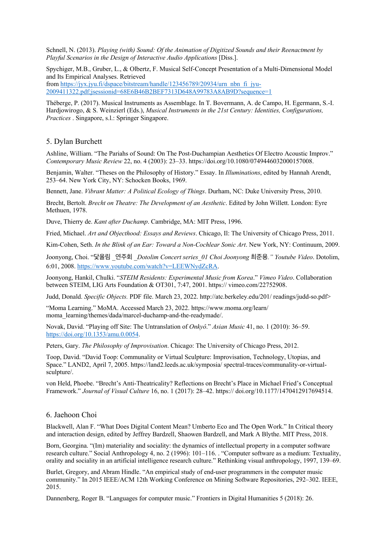Schnell, N. (2013). *Playing (with) Sound: Of the Animation of Digitized Sounds and their Reenactment by Playful Scenarios in the Design of Interactive Audio Applications [Diss.].* 

Spychiger, M.B., Gruber, L., & Olbertz, F. Musical Self-Concept Presentation of a Multi-Dimensional Model and Its Empirical Analyses. Retrieved

from https://jyx.jyu.fi/dspace/bitstream/handle/123456789/20934/urn\_nbn\_fi\_jyu-2009411322.pdf;jsessionid=68E6B46B2BEF7313D648A99783A8AB9D?sequence=1

Théberge, P. (2017). Musical Instruments as Assemblage. In T. Bovermann, A. de Campo, H. Egermann, S.-I. Hardjowirogo, & S. Weinzierl (Eds.), *Musical Instruments in the 21st Century: Identities, Configurations, Practices* . Singapore, s.l.: Springer Singapore.

### 5. Dylan Burchett

Ashline, William. "The Pariahs of Sound: On The Post-Duchampian Aesthetics Of Electro Acoustic Improv." *Contemporary Music Review* 22, no. 4 (2003): 23–33. https://doi.org/10.1080/0749446032000157008.

Benjamin, Walter. "Theses on the Philosophy of History." Essay. In *Illuminations*, edited by Hannah Arendt, 253–64. New York City, NY: Schocken Books, 1969.

Bennett, Jane. *Vibrant Matter: A Political Ecology of Things*. Durham, NC: Duke University Press, 2010.

Brecht, Bertolt. *Brecht on Theatre: The Development of an Aesthetic*. Edited by John Willett. London: Eyre Methuen, 1978.

Duve, Thierry de. *Kant after Duchamp*. Cambridge, MA: MIT Press, 1996.

Fried, Michael. *Art and Objecthood: Essays and Reviews*. Chicago, Il: The University of Chicago Press, 2011.

Kim-Cohen, Seth. *In the Blink of an Ear: Toward a Non-Cochlear Sonic Art*. New York, NY: Continuum, 2009.

Joonyong, Choi. "닻올림 \_연주회 \_*Dotolim Concert series\_01 Choi Joonyong* 최준용*." Youtube Video*. Dotolim, 6:01, 2008. https://www.youtube.com/watch?v=LEEWNydZcRA.

Joonyong, Hankil, Chulki. "*STEIM Residents: Experimental Music from Korea*." *Vimeo Video*. Collaboration between STEIM, LIG Arts Foundation & OT301, 7:47, 2001. https:// vimeo.com/22752908.

Judd, Donald. *Specific Objects.* PDF file. March 23, 2022. http://atc.berkeley.edu/201/ readings/judd-so.pdf>

"Moma Learning." MoMA. Accessed March 23, 2022. https://www.moma.org/learn/ moma\_learning/themes/dada/marcel-duchamp-and-the-readymade/.

Novak, David. "Playing off Site: The Untranslation of *Onkyô*." *Asian Music* 41, no. 1 (2010): 36–59. https://doi.org/10.1353/amu.0.0054.

Peters, Gary. *The Philosophy of Improvisation*. Chicago: The University of Chicago Press, 2012.

Toop, David. "David Toop: Communality or Virtual Sculpture: Improvisation, Technology, Utopias, and Space." LAND2, April 7, 2005. https://land2.leeds.ac.uk/symposia/ spectral-traces/communality-or-virtualsculpture/.

von Held, Phoebe. "Brecht's Anti-Theatricality? Reflections on Brecht's Place in Michael Fried's Conceptual Framework." *Journal of Visual Culture* 16, no. 1 (2017): 28–42. https:// doi.org/10.1177/1470412917694514.

#### 6. Jaehoon Choi

Blackwell, Alan F. "What Does Digital Content Mean? Umberto Eco and The Open Work." In Critical theory and interaction design, edited by Jeffrey Bardzell, Shaowen Bardzell, and Mark A Blythe. MIT Press, 2018.

Born, Georgina. "(Im) materiality and sociality: the dynamics of intellectual property in a computer software research culture." Social Anthropology 4, no. 2 (1996): 101–116. . "Computer software as a medium: Textuality, orality and sociality in an artificial intelligence research culture." Rethinking visual anthropology, 1997, 139–69.

Burlet, Gregory, and Abram Hindle. "An empirical study of end-user programmers in the computer music community." In 2015 IEEE/ACM 12th Working Conference on Mining Software Repositories, 292–302. IEEE, 2015.

Dannenberg, Roger B. "Languages for computer music." Frontiers in Digital Humanities 5 (2018): 26.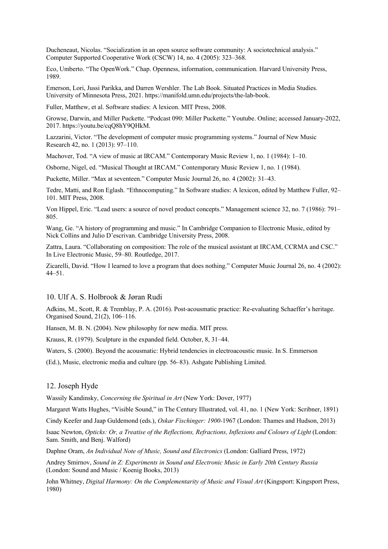Ducheneaut, Nicolas. "Socialization in an open source software community: A sociotechnical analysis." Computer Supported Cooperative Work (CSCW) 14, no. 4 (2005): 323–368.

Eco, Umberto. "The OpenWork." Chap. Openness, information, communication. Harvard University Press, 1989.

Emerson, Lori, Jussi Parikka, and Darren Wershler. The Lab Book. Situated Practices in Media Studies. University of Minnesota Press, 2021. https://manifold.umn.edu/projects/the-lab-book.

Fuller, Matthew, et al. Software studies: A lexicon. MIT Press, 2008.

Growse, Darwin, and Miller Puckette. "Podcast 090: Miller Puckette." Youtube. Online; accessed January-2022, 2017. https://youtu.be/cqQ8hY9QHkM.

Lazzarini, Victor. "The development of computer music programming systems." Journal of New Music Research 42, no. 1 (2013): 97–110.

Machover, Tod. "A view of music at IRCAM." Contemporary Music Review 1, no. 1 (1984): 1–10.

Osborne, Nigel, ed. "Musical Thought at IRCAM." Contemporary Music Review 1, no. 1 (1984).

Puckette, Miller. "Max at seventeen." Computer Music Journal 26, no. 4 (2002): 31–43.

Tedre, Matti, and Ron Eglash. "Ethnocomputing." In Software studies: A lexicon, edited by Matthew Fuller, 92– 101. MIT Press, 2008.

Von Hippel, Eric. "Lead users: a source of novel product concepts." Management science 32, no. 7 (1986): 791– 805.

Wang, Ge. "A history of programming and music." In Cambridge Companion to Electronic Music, edited by Nick Collins and Julio D'escrivan. Cambridge University Press, 2008.

Zattra, Laura. "Collaborating on composition: The role of the musical assistant at IRCAM, CCRMA and CSC." In Live Electronic Music, 59–80. Routledge, 2017.

Zicarelli, David. "How I learned to love a program that does nothing." Computer Music Journal 26, no. 4 (2002): 44–51.

### 10. Ulf A. S. Holbrook & Jøran Rudi

Adkins, M., Scott, R. & Tremblay, P. A. (2016). Post-acousmatic practice: Re-evaluating Schaeffer's heritage. Organised Sound, 21(2), 106–116.

Hansen, M. B. N. (2004). New philosophy for new media. MIT press.

Krauss, R. (1979). Sculpture in the expanded field. October, 8, 31–44.

Waters, S. (2000). Beyond the acousmatic: Hybrid tendencies in electroacoustic music. In S. Emmerson

(Ed.), Music, electronic media and culture (pp. 56–83). Ashgate Publishing Limited.

#### 12. Joseph Hyde

Wassily Kandinsky, *Concerning the Spiritual in Art* (New York: Dover, 1977)

Margaret Watts Hughes, "Visible Sound," in The Century Illustrated, vol. 41, no. 1 (New York: Scribner, 1891)

Cindy Keefer and Jaap Guldemond (eds.), *Oskar Fischinger: 1900-*1967 (London: Thames and Hudson, 2013)

Isaac Newton, *Opticks: Or, a Treatise of the Reflections, Refractions, Inflexions and Colours of Light* (London: Sam. Smith, and Benj. Walford)

Daphne Oram, *An Individual Note of Music, Sound and Electronics* (London: Galliard Press, 1972)

Andrey Smirnov, *Sound in Z: Experiments in Sound and Electronic Music in Early 20th Century Russia* (London: Sound and Music / Koenig Books, 2013)

John Whitney, *Digital Harmony: On the Complementarity of Music and Visual Art* (Kingsport: Kingsport Press, 1980)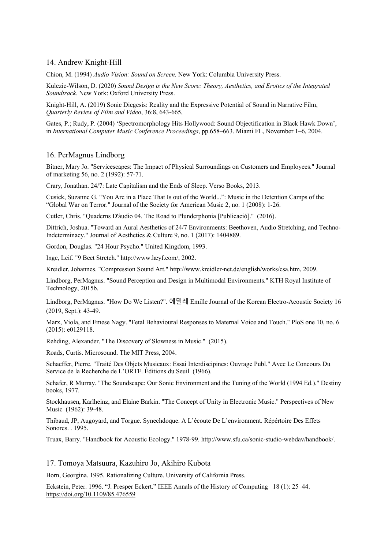### 14. Andrew Knight-Hill

Chion, M. (1994) *Audio Vision: Sound on Screen.* New York: Columbia University Press.

Kulezic-Wilson, D. (2020) *Sound Design is the New Score: Theory, Aesthetics, and Erotics of the Integrated Soundtrack.* New York: Oxford University Press.

Knight-Hill, A. (2019) Sonic Diegesis: Reality and the Expressive Potential of Sound in Narrative Film, *Quarterly Review of Film and Video*, 36:8, 643-665,

Gates, P.; Rudy, P. (2004) 'Spectromorphology Hits Hollywood: Sound Objectification in Black Hawk Down', in *International Computer Music Conference Proceedings*, pp.658–663. Miami FL, November 1–6, 2004.

#### 16. PerMagnus Lindborg

Bitner, Mary Jo. "Servicescapes: The Impact of Physical Surroundings on Customers and Employees." Journal of marketing 56, no. 2 (1992): 57-71.

Crary, Jonathan. 24/7: Late Capitalism and the Ends of Sleep. Verso Books, 2013.

Cusick, Suzanne G. "You Are in a Place That Is out of the World...": Music in the Detention Camps of the "Global War on Terror." Journal of the Society for American Music 2, no. 1 (2008): 1-26.

Cutler, Chris. "Quaderns D'àudio 04. The Road to Plunderphonia [Publicació]." (2016).

Dittrich, Joshua. "Toward an Aural Aesthetics of 24/7 Environments: Beethoven, Audio Stretching, and Techno-Indeterminacy." Journal of Aesthetics & Culture 9, no. 1 (2017): 1404889.

Gordon, Douglas. "24 Hour Psycho." United Kingdom, 1993.

Inge, Leif. "9 Beet Stretch." http://www.læyf.com/, 2002.

Kreidler, Johannes. "Compression Sound Art." http://www.kreidler-net.de/english/works/csa.htm, 2009.

Lindborg, PerMagnus. "Sound Perception and Design in Multimodal Environments." KTH Royal Institute of Technology, 2015b.

Lindborg, PerMagnus. "How Do We Listen?". 에밀레 Emille Journal of the Korean Electro-Acoustic Society 16 (2019, Sept.): 43-49.

Marx, Viola, and Emese Nagy. "Fetal Behavioural Responses to Maternal Voice and Touch." PloS one 10, no. 6 (2015): e0129118.

Rehding, Alexander. "The Discovery of Slowness in Music." (2015).

Roads, Curtis. Microsound. The MIT Press, 2004.

Schaeffer, Pierre. "Traité Des Objets Musicaux: Essai Interdiscipines: Ouvrage Publ." Avec Le Concours Du Service de la Recherche de L'ORTF. Éditions du Seuil (1966).

Schafer, R Murray. "The Soundscape: Our Sonic Environment and the Tuning of the World (1994 Ed.)." Destiny books, 1977.

Stockhausen, Karlheinz, and Elaine Barkin. "The Concept of Unity in Electronic Music." Perspectives of New Music (1962): 39-48.

Thibaud, JP, Augoyard, and Torgue. Synechdoque. A L'écoute De L'environment. Répértoire Des Effets Sonores. . 1995.

Truax, Barry. "Handbook for Acoustic Ecology." 1978-99. http://www.sfu.ca/sonic-studio-webdav/handbook/.

17. Tomoya Matsuura, Kazuhiro Jo, Akihiro Kubota

Born, Georgina. 1995. Rationalizing Culture. University of California Press.

Eckstein, Peter. 1996. "J. Presper Eckert." IEEE Annals of the History of Computing\_ 18 (1): 25–44. https://doi.org/10.1109/85.476559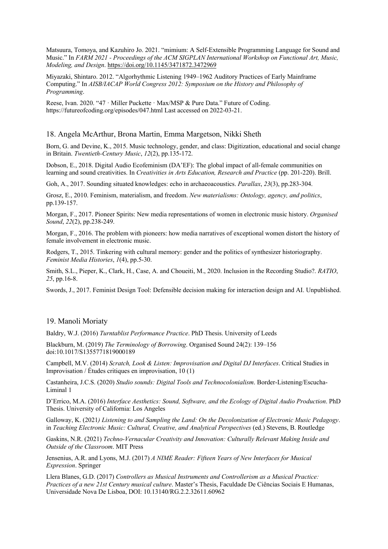Matsuura, Tomoya, and Kazuhiro Jo. 2021. "mimium: A Self-Extensible Programming Language for Sound and Music." In *FARM 2021 - Proceedings of the ACM SIGPLAN International Workshop on Functional Art, Music, Modeling, and Design*. https://doi.org/10.1145/3471872.3472969

Miyazaki, Shintaro. 2012. "Algorhythmic Listening 1949–1962 Auditory Practices of Early Mainframe Computing." In *AISB/IACAP World Congress 2012: Symposium on the History and Philosophy of Programming*.

Reese, Ivan. 2020. "47 · Miller Puckette · Max/MSP & Pure Data." Future of Coding. https://futureofcoding.org/episodes/047.html Last accessed on 2022-03-21.

### 18. Angela McArthur, Brona Martin, Emma Margetson, Nikki Sheth

Born, G. and Devine, K., 2015. Music technology, gender, and class: Digitization, educational and social change in Britain. *Twentieth-Century Music*, *12*(2), pp.135-172.

Dobson, E., 2018. Digital Audio Ecofeminism (DA'EF): The global impact of all-female communities on learning and sound creativities. In *Creativities in Arts Education, Research and Practice* (pp. 201-220). Brill.

Goh, A., 2017. Sounding situated knowledges: echo in archaeoacoustics. *Parallax*, *23*(3), pp.283-304.

Grosz, E., 2010. Feminism, materialism, and freedom. *New materialisms: Ontology, agency, and politics*, pp.139-157.

Morgan, F., 2017. Pioneer Spirits: New media representations of women in electronic music history. *Organised Sound*, *22*(2), pp.238-249.

Morgan, F., 2016. The problem with pioneers: how media narratives of exceptional women distort the history of female involvement in electronic music.

Rodgers, T., 2015. Tinkering with cultural memory: gender and the politics of synthesizer historiography. *Feminist Media Histories*, *1*(4), pp.5-30.

Smith, S.L., Pieper, K., Clark, H., Case, A. and Choueiti, M., 2020. Inclusion in the Recording Studio?. *RATIO*, *25*, pp.16-8.

Swords, J., 2017. Feminist Design Tool: Defensible decision making for interaction design and AI. Unpublished.

### 19. Manoli Moriaty

Baldry, W.J. (2016) *Turntablist Performance Practice*. PhD Thesis. University of Leeds

Blackburn, M. (2019) *The Terminology of Borrowing*. Organised Sound 24(2): 139–156 doi:10.1017/S1355771819000189

Campbell, M.V. (2014) *Scratch, Look & Listen: Improvisation and Digital DJ Interfaces*. Critical Studies in Improvisation / Études critiques en improvisation, 10 (1)

Castanheira, J.C.S. (2020) *Studio sounds: Digital Tools and Technocolonialism*. Border-Listening/Escucha-Liminal 1

D'Errico, M.A. (2016) *Interface Aesthetics: Sound, Software, and the Ecology of Digital Audio Production*. PhD Thesis. University of California: Los Angeles

Galloway, K. (2021*) Listening to and Sampling the Land: On the Decolonization of Electronic Music Pedagogy*. in *Teaching Electronic Music: Cultural, Creative, and Analytical Perspectives* (ed.) Stevens, B. Routledge

Gaskins, N.R. (2021) *Techno-Vernacular Creativity and Innovation: Culturally Relevant Making Inside and Outside of the Classroom*. MIT Press

Jensenius, A.R. and Lyons, M.J. (2017) *A NIME Reader: Fifteen Years of New Interfaces for Musical Expression*. Springer

Llera Blanes, G.D. (2017) *Controllers as Musical Instruments and Controllerism as a Musical Practice: Practices of a new 21st Century musical culture*. Master's Thesis, Faculdade De Ciências Sociais E Humanas, Universidade Nova De Lisboa, DOI: 10.13140/RG.2.2.32611.60962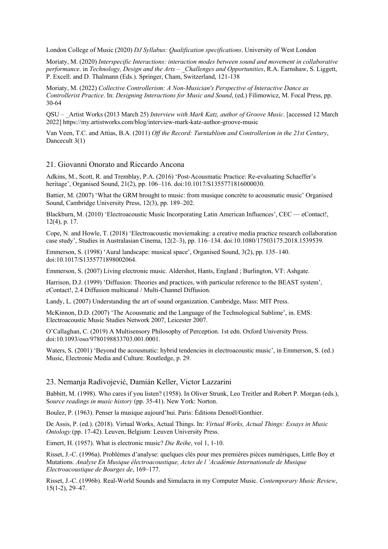London College of Music (2020) *DJ Syllabus: Qualification specifications*. University of West London

Moriaty, M. (2020) *Interspecific Interactions: interaction modes between sound and movement in collaborative performance*. in *Technology, Design and the Arts – \_Challenges and Opportunities*, R.A. Earnshaw, S. Liggett, P. Excell. and D. Thalmann (Eds.). Springer, Cham, Switzerland, 121-138

Moriaty, M. (2022) *Collective Controllerism: A Non-Musician's Perspective of Interactive Dance as Controllerist Practice*. In: *Designing Interactions for Music and Sound*, (ed.) Filimowicz, M. Focal Press, pp. 30-64

QSU – \_Artist Works (2013 March 25) *Interview with Mark Katz, author of Groove Music*. [accessed 12 March 2022] https://my.artistworks.com/blog/interview-mark-katz-author-groove-music

Van Veen, T.C. and Attias, B.A. (2011) *Off the Record: Turntablism and Controllerism in the 21st Century*, Dancecult 3(1)

### 21. Giovanni Onorato and Riccardo Ancona

Adkins, M., Scott, R. and Tremblay, P.A. (2016) 'Post-Acousmatic Practice: Re-evaluating Schaeffer's heritage', Organised Sound, 21(2), pp. 106–116. doi:10.1017/S1355771816000030.

Battier, M. (2007) 'What the GRM brought to music: from musique concrète to acousmatic music' Organised Sound, Cambridge University Press, 12(3), pp. 189–202.

Blackburn, M. (2010) 'Electroacoustic Music Incorporating Latin American Influences', CEC — eContact!, 12(4), p. 17.

Cope, N. and Howle, T. (2018) 'Electroacoustic moviemaking: a creative media practice research collaboration case study', Studies in Australasian Cinema, 12(2–3), pp. 116–134. doi:10.1080/17503175.2018.1539539.

Emmerson, S. (1998) 'Aural landscape: musical space', Organised Sound, 3(2), pp. 135–140. doi:10.1017/S1355771898002064.

Emmerson, S. (2007) Living electronic music. Aldershot, Hants, England ; Burlington, VT: Ashgate.

Harrison, D.J. (1999) 'Diffusion: Theories and practices, with particular reference to the BEAST system', eContact!, 2.4 Diffusion multicanal / Multi-Channel Diffusion.

Landy, L. (2007) Understanding the art of sound organization. Cambridge, Mass: MIT Press.

McKinnon, D.D. (2007) 'The Acousmatic and the Language of the Technological Sublime', in. EMS: Electroacoustic Music Studies Network 2007, Leicester 2007.

O'Callaghan, C. (2019) A Multisensory Philosophy of Perception. 1st edn. Oxford University Press. doi:10.1093/oso/9780198833703.001.0001.

Waters, S. (2001) 'Beyond the acousmatic: hybrid tendencies in electroacoustic music', in Emmerson, S. (ed.) Music, Electronic Media and Culture. Routledge, p. 29.

#### 23. Nemanja Radivojević, Damián Keller, Victor Lazzarini

Babbitt, M. (1998). Who cares if you listen? (1958). In Oliver Strunk, Leo Treitler and Robert P. Morgan (eds.), S*ource readings in music history* (pp. 35-41). New York: Norton.

Boulez, P. (1963). Penser la musique aujourd'hui. Paris: Éditions Denoël/Gonthier.

De Assis, P. (ed.). (2018). Virtual Works, Actual Things. In: *Virtual Works, Actual Things: Essays in Music Ontology* (pp. 17-42). Leuven, Belgium: Leuven University Press.

Eimert, H. (1957). What is electronic music? *Die Reihe*, vol 1, 1-10.

Risset, J.-C. (1996a). Problèmes d'analyse: quelques clés pour mes premières pièces numériques, Little Boy et Mutations. *Analyse En Musique électroacoustique, Actes de l 'Académie Internationale de Musique Electroacoustique de Bourges de*, 169–177.

Risset, J.-C. (1996b). Real-World Sounds and Simulacra in my Computer Music. *Contemporary Music Review*, 15(1-2), 29–47.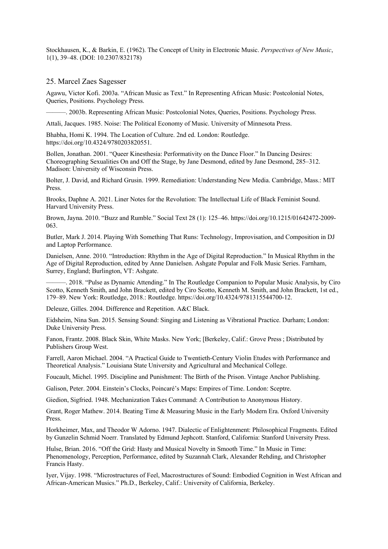Stockhausen, K., & Barkin, E. (1962). The Concept of Unity in Electronic Music. *Perspectives of New Music*, 1(1), 39–48. (DOI: 10.2307/832178)

25. Marcel Zaes Sagesser

Agawu, Victor Kofi. 2003a. "African Music as Text." In Representing African Music: Postcolonial Notes, Queries, Positions. Psychology Press.

———. 2003b. Representing African Music: Postcolonial Notes, Queries, Positions. Psychology Press.

Attali, Jacques. 1985. Noise: The Political Economy of Music. University of Minnesota Press.

Bhabha, Homi K. 1994. The Location of Culture. 2nd ed. London: Routledge. https://doi.org/10.4324/9780203820551.

Bollen, Jonathan. 2001. "Queer Kinesthesia: Performativity on the Dance Floor." In Dancing Desires: Choreographing Sexualities On and Off the Stage, by Jane Desmond, edited by Jane Desmond, 285–312. Madison: University of Wisconsin Press.

Bolter, J. David, and Richard Grusin. 1999. Remediation: Understanding New Media. Cambridge, Mass.: MIT Press.

Brooks, Daphne A. 2021. Liner Notes for the Revolution: The Intellectual Life of Black Feminist Sound. Harvard University Press.

Brown, Jayna. 2010. "Buzz and Rumble." Social Text 28 (1): 125–46. https://doi.org/10.1215/01642472-2009- 063.

Butler, Mark J. 2014. Playing With Something That Runs: Technology, Improvisation, and Composition in DJ and Laptop Performance.

Danielsen, Anne. 2010. "Introduction: Rhythm in the Age of Digital Reproduction." In Musical Rhythm in the Age of Digital Reproduction, edited by Anne Danielsen. Ashgate Popular and Folk Music Series. Farnham, Surrey, England; Burlington, VT: Ashgate.

———. 2018. "Pulse as Dynamic Attending." In The Routledge Companion to Popular Music Analysis, by Ciro Scotto, Kenneth Smith, and John Brackett, edited by Ciro Scotto, Kenneth M. Smith, and John Brackett, 1st ed., 179–89. New York: Routledge, 2018.: Routledge. https://doi.org/10.4324/9781315544700-12.

Deleuze, Gilles. 2004. Difference and Repetition. A&C Black.

Eidsheim, Nina Sun. 2015. Sensing Sound: Singing and Listening as Vibrational Practice. Durham; London: Duke University Press.

Fanon, Frantz. 2008. Black Skin, White Masks. New York; [Berkeley, Calif.: Grove Press ; Distributed by Publishers Group West.

Farrell, Aaron Michael. 2004. "A Practical Guide to Twentieth-Century Violin Etudes with Performance and Theoretical Analysis." Louisiana State University and Agricultural and Mechanical College.

Foucault, Michel. 1995. Discipline and Punishment: The Birth of the Prison. Vintage Anchor Publishing.

Galison, Peter. 2004. Einstein's Clocks, Poincaré's Maps: Empires of Time. London: Sceptre.

Giedion, Sigfried. 1948. Mechanization Takes Command: A Contribution to Anonymous History.

Grant, Roger Mathew. 2014. Beating Time & Measuring Music in the Early Modern Era. Oxford University Press.

Horkheimer, Max, and Theodor W Adorno. 1947. Dialectic of Enlightenment: Philosophical Fragments. Edited by Gunzelin Schmid Noerr. Translated by Edmund Jephcott. Stanford, California: Stanford University Press.

Hulse, Brian. 2016. "Off the Grid: Hasty and Musical Novelty in Smooth Time." In Music in Time: Phenomenology, Perception, Performance, edited by Suzannah Clark, Alexander Rehding, and Christopher Francis Hasty.

Iyer, Vijay. 1998. "Microstructures of Feel, Macrostructures of Sound: Embodied Cognition in West African and African-American Musics." Ph.D., Berkeley, Calif.: University of California, Berkeley.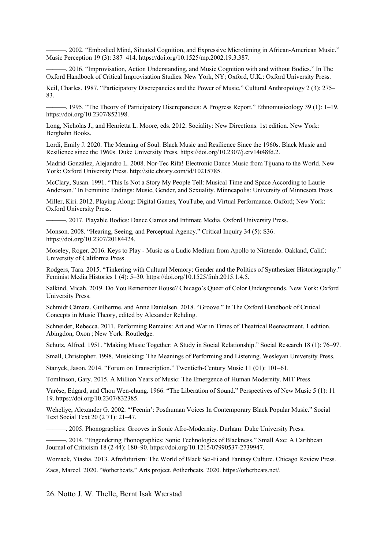———. 2002. "Embodied Mind, Situated Cognition, and Expressive Microtiming in African-American Music." Music Perception 19 (3): 387–414. https://doi.org/10.1525/mp.2002.19.3.387.

———. 2016. "Improvisation, Action Understanding, and Music Cognition with and without Bodies." In The Oxford Handbook of Critical Improvisation Studies. New York, NY; Oxford, U.K.: Oxford University Press.

Keil, Charles. 1987. "Participatory Discrepancies and the Power of Music." Cultural Anthropology 2 (3): 275– 83.

———. 1995. "The Theory of Participatory Discrepancies: A Progress Report." Ethnomusicology 39 (1): 1–19. https://doi.org/10.2307/852198.

Long, Nicholas J., and Henrietta L. Moore, eds. 2012. Sociality: New Directions. 1st edition. New York: Berghahn Books.

Lordi, Emily J. 2020. The Meaning of Soul: Black Music and Resilience Since the 1960s. Black Music and Resilience since the 1960s. Duke University Press. https://doi.org/10.2307/j.ctv14t48fd.2.

Madrid-González, Alejandro L. 2008. Nor-Tec Rifa! Electronic Dance Music from Tijuana to the World. New York: Oxford University Press. http://site.ebrary.com/id/10215785.

McClary, Susan. 1991. "This Is Not a Story My People Tell: Musical Time and Space According to Laurie Anderson." In Feminine Endings: Music, Gender, and Sexuality. Minneapolis: University of Minnesota Press.

Miller, Kiri. 2012. Playing Along: Digital Games, YouTube, and Virtual Performance. Oxford; New York: Oxford University Press.

-. 2017. Playable Bodies: Dance Games and Intimate Media. Oxford University Press.

Monson. 2008. "Hearing, Seeing, and Perceptual Agency." Critical Inquiry 34 (5): S36. https://doi.org/10.2307/20184424.

Moseley, Roger. 2016. Keys to Play - Music as a Ludic Medium from Apollo to Nintendo. Oakland, Calif.: University of California Press.

Rodgers, Tara. 2015. "Tinkering with Cultural Memory: Gender and the Politics of Synthesizer Historiography." Feminist Media Histories 1 (4): 5–30. https://doi.org/10.1525/fmh.2015.1.4.5.

Salkind, Micah. 2019. Do You Remember House? Chicago's Queer of Color Undergrounds. New York: Oxford University Press.

Schmidt Câmara, Guilherme, and Anne Danielsen. 2018. "Groove." In The Oxford Handbook of Critical Concepts in Music Theory, edited by Alexander Rehding.

Schneider, Rebecca. 2011. Performing Remains: Art and War in Times of Theatrical Reenactment. 1 edition. Abingdon, Oxon ; New York: Routledge.

Schütz, Alfred. 1951. "Making Music Together: A Study in Social Relationship." Social Research 18 (1): 76–97.

Small, Christopher. 1998. Musicking: The Meanings of Performing and Listening. Wesleyan University Press.

Stanyek, Jason. 2014. "Forum on Transcription." Twentieth-Century Music 11 (01): 101–61.

Tomlinson, Gary. 2015. A Million Years of Music: The Emergence of Human Modernity. MIT Press.

Varèse, Edgard, and Chou Wen-chung. 1966. "The Liberation of Sound." Perspectives of New Music 5 (1): 11– 19. https://doi.org/10.2307/832385.

Weheliye, Alexander G. 2002. "'Feenin': Posthuman Voices In Contemporary Black Popular Music." Social Text Social Text 20 (2 71): 21–47.

———. 2005. Phonographies: Grooves in Sonic Afro-Modernity. Durham: Duke University Press.

-. 2014. "Engendering Phonographies: Sonic Technologies of Blackness." Small Axe: A Caribbean Journal of Criticism 18 (2 44): 180–90. https://doi.org/10.1215/07990537-2739947.

Womack, Ytasha. 2013. Afrofuturism: The World of Black Sci-Fi and Fantasy Culture. Chicago Review Press.

Zaes, Marcel. 2020. "#otherbeats." Arts project. #otherbeats. 2020. https://otherbeats.net/.

26. Notto J. W. Thelle, Bernt Isak Wærstad